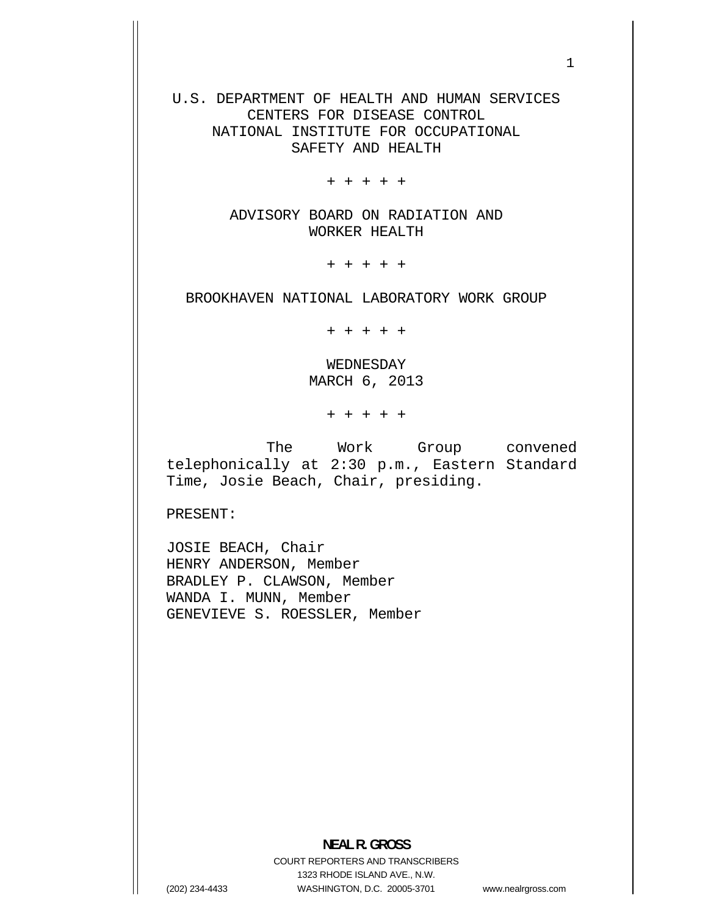U.S. DEPARTMENT OF HEALTH AND HUMAN SERVICES CENTERS FOR DISEASE CONTROL NATIONAL INSTITUTE FOR OCCUPATIONAL SAFETY AND HEALTH

+ + + + +

ADVISORY BOARD ON RADIATION AND WORKER HEALTH

+ + + + +

BROOKHAVEN NATIONAL LABORATORY WORK GROUP

+ + + + +

WEDNESDAY MARCH 6, 2013

+ + + + +

The Work Group convened telephonically at 2:30 p.m., Eastern Standard Time, Josie Beach, Chair, presiding.

PRESENT:

JOSIE BEACH, Chair HENRY ANDERSON, Member BRADLEY P. CLAWSON, Member WANDA I. MUNN, Member GENEVIEVE S. ROESSLER, Member

COURT REPORTERS AND TRANSCRIBERS 1323 RHODE ISLAND AVE., N.W. (202) 234-4433 WASHINGTON, D.C. 20005-3701

www.nealrgross.com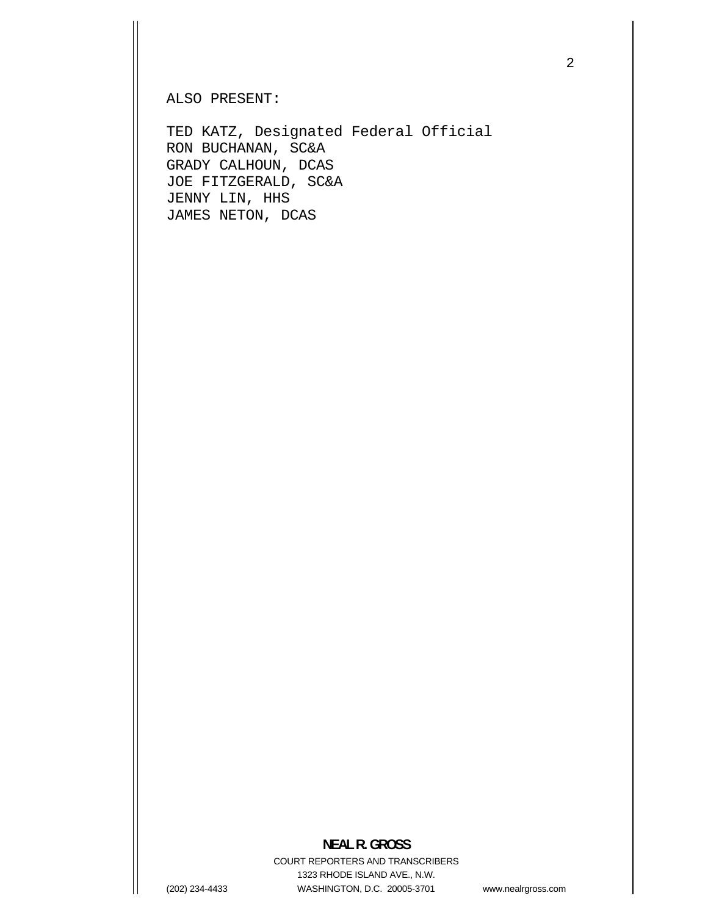ALSO PRESENT:

TED KATZ, Designated Federal Official RON BUCHANAN, SC&A GRADY CALHOUN, DCAS JOE FITZGERALD, SC&A JENNY LIN, HHS JAMES NETON, DCAS

**NEAL R. GROSS**  COURT REPORTERS AND TRANSCRIBERS 1323 RHODE ISLAND AVE., N.W. (202) 234-4433 WASHINGTON, D.C. 20005-3701

www.nealrgross.com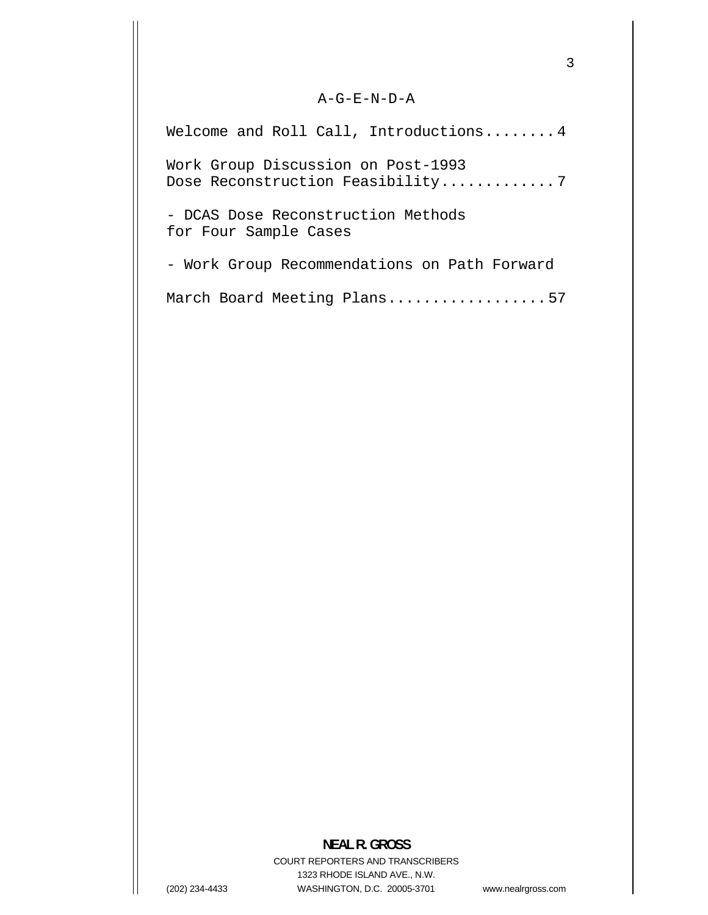## A-G-E-N-D-A

Welcome and Roll Call, Introductions ........ 4 Work Group Discussion on Post-1993 Dose Reconstruction Feasibility..............7

- DCAS Dose Reconstruction Methods for Four Sample Cases

- Work Group Recommendations on Path Forward

March Board Meeting Plans..................57

## **NEAL R. GROSS**

COURT REPORTERS AND TRANSCRIBERS 1323 RHODE ISLAND AVE., N.W. (202) 234-4433 WASHINGTON, D.C. 20005-3701

www.nealrgross.com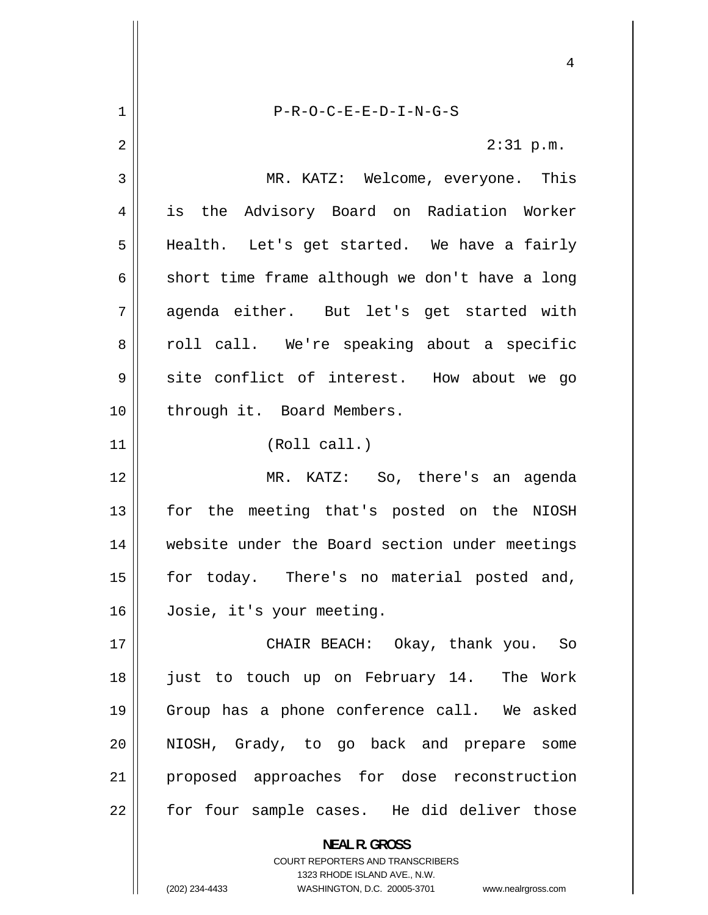<span id="page-3-0"></span>4 1 P-R-O-C-E-E-D-I-N-G-S 2 2:31 p.m. 3 MR. KATZ: Welcome, everyone. This 4 is the Advisory Board on Radiation Worker 5 Health. Let's get started. We have a fairly 6 short time frame although we don't have a long 7 agenda either. But let's get started with 8 roll call. We're speaking about a specific 9 site conflict of interest. How about we go through it. Board Members. (Roll call.) MR. KATZ: So, there's an agenda for the meeting that's posted on the NIOSH website under the Board section under meetings for today. There's no material posted and, Josie, it's your meeting. CHAIR BEACH: Okay, thank you. So just to touch up on February 14. The Work Group has a phone conference call. We asked 10 11 12 13 14 15 16 17 18 19 20 NIOSH, Grady, to go back and prepare some proposed approaches for dose reconstruction for four sample cases. He did deliver those 21 22 **NEAL R. GROSS**  COURT REPORTERS AND TRANSCRIBERS

1323 RHODE ISLAND AVE., N.W.

(202) 234-4433 WASHINGTON, D.C. 20005-3701 www.nealrgross.com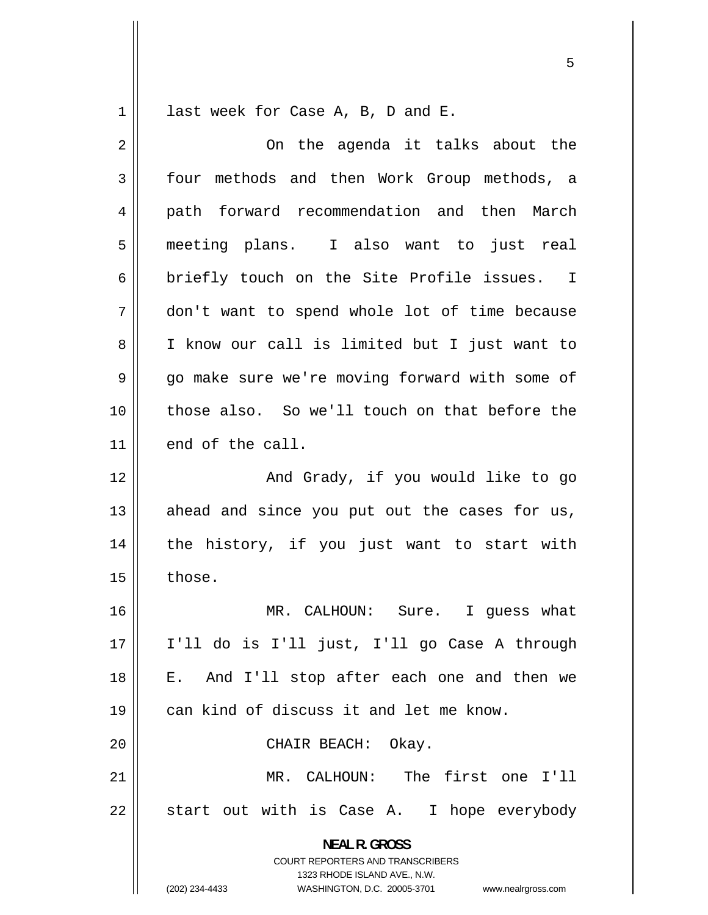<span id="page-4-0"></span>1 last week for Case A, B, D and E.

**NEAL R. GROSS**  COURT REPORTERS AND TRANSCRIBERS 1323 RHODE ISLAND AVE., N.W. 2 3 4 5 6 7 8 9 10 11 12 13 14 15 16 17 18 19 20 21 22 On the agenda it talks about the four methods and then Work Group methods, a path forward recommendation and then March meeting plans. I also want to just real briefly touch on the Site Profile issues. I don't want to spend whole lot of time because I know our call is limited but I just want to go make sure we're moving forward with some of those also. So we'll touch on that before the end of the call. And Grady, if you would like to go ahead and since you put out the cases for us, the history, if you just want to start with those. MR. CALHOUN: Sure. I guess what I'll do is I'll just, I'll go Case A through E. And I'll stop after each one and then we can kind of discuss it and let me know. CHAIR BEACH: Okay. MR. CALHOUN: The first one I'll start out with is Case A. I hope everybody

(202) 234-4433 WASHINGTON, D.C. 20005-3701 www.nealrgross.com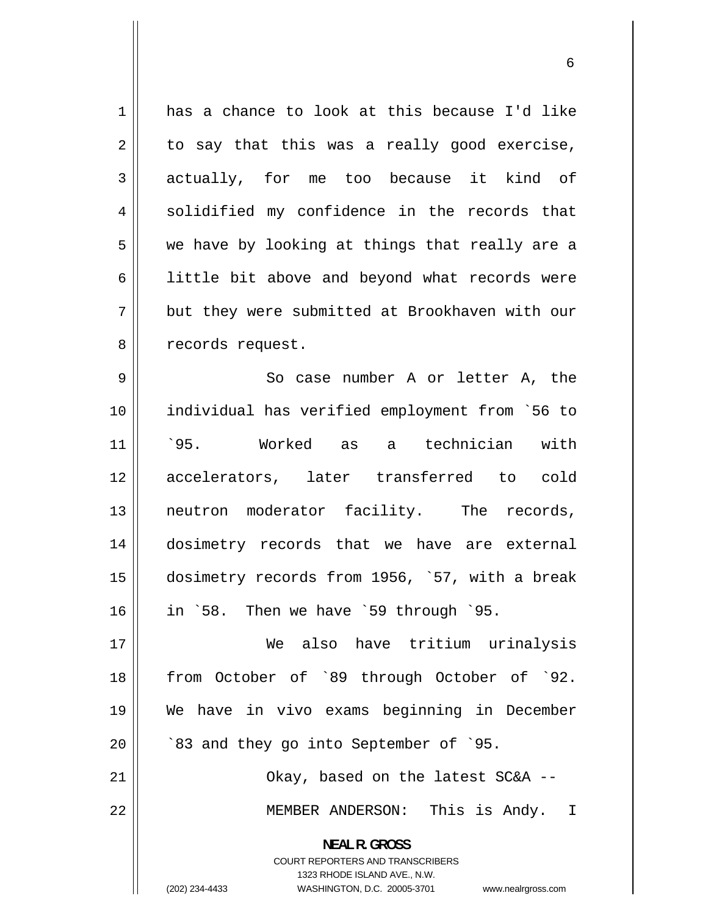<span id="page-5-0"></span>1 2 3 4 5 6 7 8 9 has a chance to look at this because I'd like to say that this was a really good exercise, actually, for me too because it kind of solidified my confidence in the records that we have by looking at things that really are a little bit above and beyond what records were but they were submitted at Brookhaven with our records request. So case number A or letter A, the

10 11 12 13 14 15 16 individual has verified employment from `56 to `95. Worked as a technician with accelerators, later transferred to cold neutron moderator facility. The records, dosimetry records that we have are external dosimetry records from 1956, `57, with a break in `58. Then we have `59 through `95.

17 18 19 20 We also have tritium urinalysis from October of `89 through October of `92. We have in vivo exams beginning in December `83 and they go into September of `95.

21 22 Okay, based on the latest SC&A -- MEMBER ANDERSON: This is Andy. I

> **NEAL R. GROSS**  COURT REPORTERS AND TRANSCRIBERS

> > 1323 RHODE ISLAND AVE., N.W.

(202) 234-4433 WASHINGTON, D.C. 20005-3701 www.nealrgross.com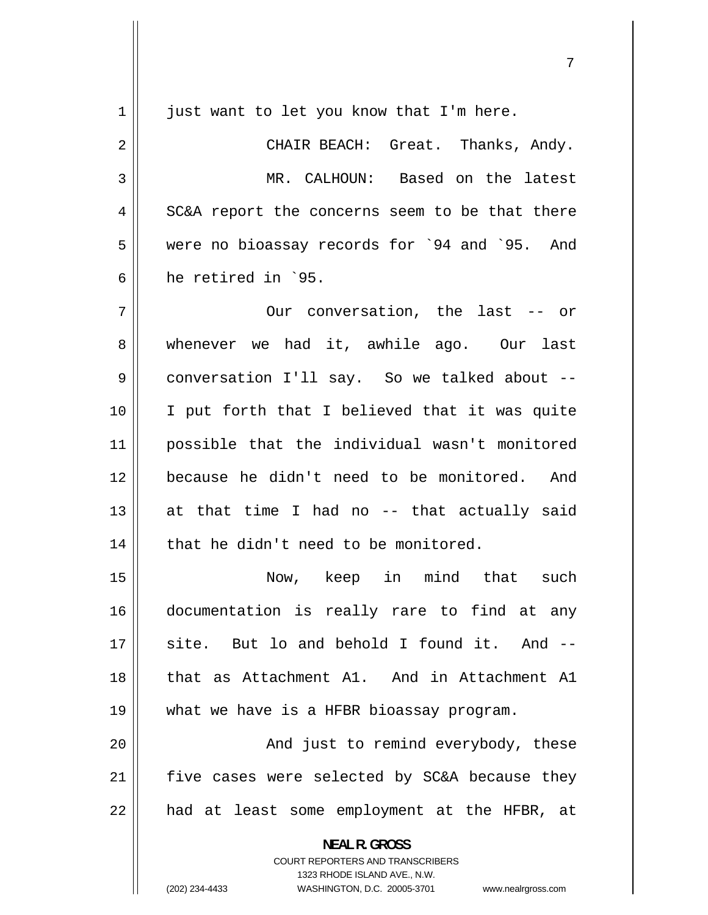<span id="page-6-0"></span>

| 1  | just want to let you know that I'm here.                                                                                                                               |
|----|------------------------------------------------------------------------------------------------------------------------------------------------------------------------|
| 2  | CHAIR BEACH: Great. Thanks, Andy.                                                                                                                                      |
| 3  | MR. CALHOUN: Based on the latest                                                                                                                                       |
| 4  | SC&A report the concerns seem to be that there                                                                                                                         |
| 5  | were no bioassay records for `94 and `95. And                                                                                                                          |
| 6  | he retired in `95.                                                                                                                                                     |
| 7  | Our conversation, the last -- or                                                                                                                                       |
| 8  | whenever we had it, awhile ago. Our last                                                                                                                               |
| 9  | conversation I'll say. So we talked about --                                                                                                                           |
| 10 | I put forth that I believed that it was quite                                                                                                                          |
| 11 | possible that the individual wasn't monitored                                                                                                                          |
| 12 | because he didn't need to be monitored. And                                                                                                                            |
| 13 | at that time I had no -- that actually said                                                                                                                            |
| 14 | that he didn't need to be monitored.                                                                                                                                   |
| 15 | Now, keep in mind that<br>such                                                                                                                                         |
| 16 | documentation is really rare to find at any                                                                                                                            |
| 17 | site. But lo and behold I found it. And --                                                                                                                             |
| 18 | that as Attachment A1. And in Attachment A1                                                                                                                            |
| 19 | what we have is a HFBR bioassay program.                                                                                                                               |
| 20 | And just to remind everybody, these                                                                                                                                    |
| 21 | five cases were selected by SC&A because they                                                                                                                          |
| 22 | had at least some employment at the HFBR, at                                                                                                                           |
|    | <b>NEAL R. GROSS</b><br><b>COURT REPORTERS AND TRANSCRIBERS</b><br>1323 RHODE ISLAND AVE., N.W.<br>(202) 234-4433<br>WASHINGTON, D.C. 20005-3701<br>www.nealrgross.com |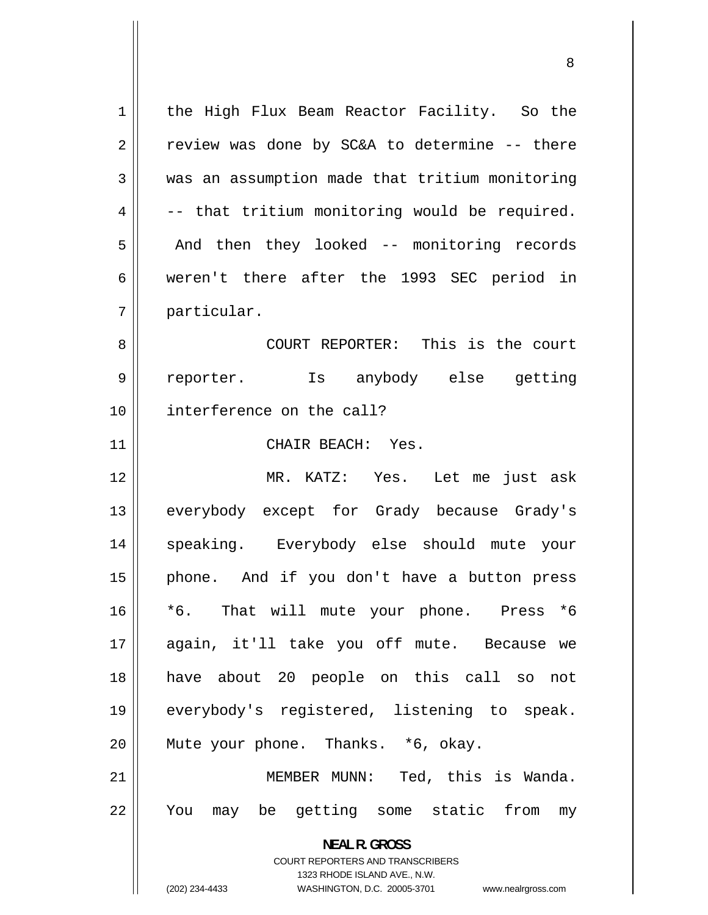<span id="page-7-0"></span>**NEAL R. GROSS**  COURT REPORTERS AND TRANSCRIBERS 1323 RHODE ISLAND AVE., N.W. (202) 234-4433 WASHINGTON, D.C. 20005-3701 www.nealrgross.com 1 2 3 4 5 6 7 8 9 10 11 12 13 14 15 16 17 18 19 20 21 22 the High Flux Beam Reactor Facility. So the review was done by SC&A to determine -- there was an assumption made that tritium monitoring -- that tritium monitoring would be required. And then they looked -- monitoring records weren't there after the 1993 SEC period in particular. COURT REPORTER: This is the court reporter. Is anybody else getting interference on the call? CHAIR BEACH: Yes. MR. KATZ: Yes. Let me just ask everybody except for Grady because Grady's speaking. Everybody else should mute your phone. And if you don't have a button press \*6. That will mute your phone. Press \*6 again, it'll take you off mute. Because we have about 20 people on this call so not everybody's registered, listening to speak. Mute your phone. Thanks. \*6, okay. MEMBER MUNN: Ted, this is Wanda. You may be getting some static from my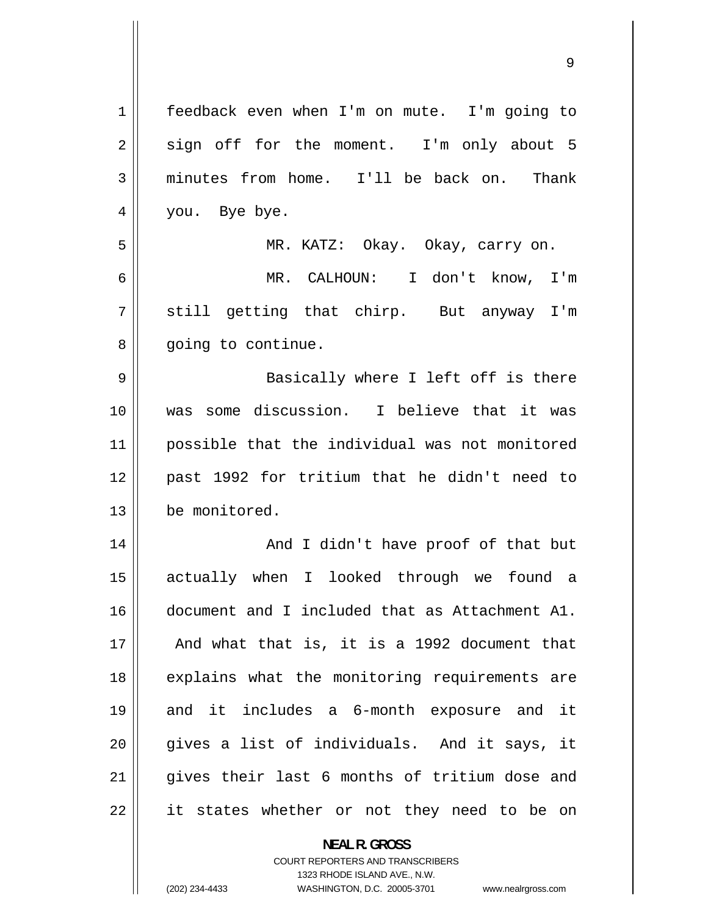<span id="page-8-0"></span>

| 1  | feedback even when I'm on mute. I'm going to   |
|----|------------------------------------------------|
| 2  | sign off for the moment. I'm only about 5      |
| 3  | minutes from home. I'll be back on. Thank      |
| 4  | you. Bye bye.                                  |
| 5  | MR. KATZ: Okay. Okay, carry on.                |
| 6  | MR. CALHOUN: I don't know, I'm                 |
| 7  | still getting that chirp. But anyway I'm       |
| 8  | going to continue.                             |
| 9  | Basically where I left off is there            |
| 10 | was some discussion. I believe that it was     |
| 11 | possible that the individual was not monitored |
| 12 | past 1992 for tritium that he didn't need to   |
| 13 | be monitored.                                  |
| 14 | And I didn't have proof of that but            |
| 15 | actually when I looked through we found a      |
| 16 | document and I included that as Attachment A1. |
| 17 | And what that is, it is a 1992 document that   |
| 18 | explains what the monitoring requirements are  |
| 19 | and it includes a 6-month exposure and it      |
| 20 | gives a list of individuals. And it says, it   |
| 21 | gives their last 6 months of tritium dose and  |
| 22 | it states whether or not they need to be on    |
|    | <b>NEAL R. GROSS</b>                           |

COURT REPORTERS AND TRANSCRIBERS 1323 RHODE ISLAND AVE., N.W.

 $\prod$ 

(202) 234-4433 WASHINGTON, D.C. 20005-3701 www.nealrgross.com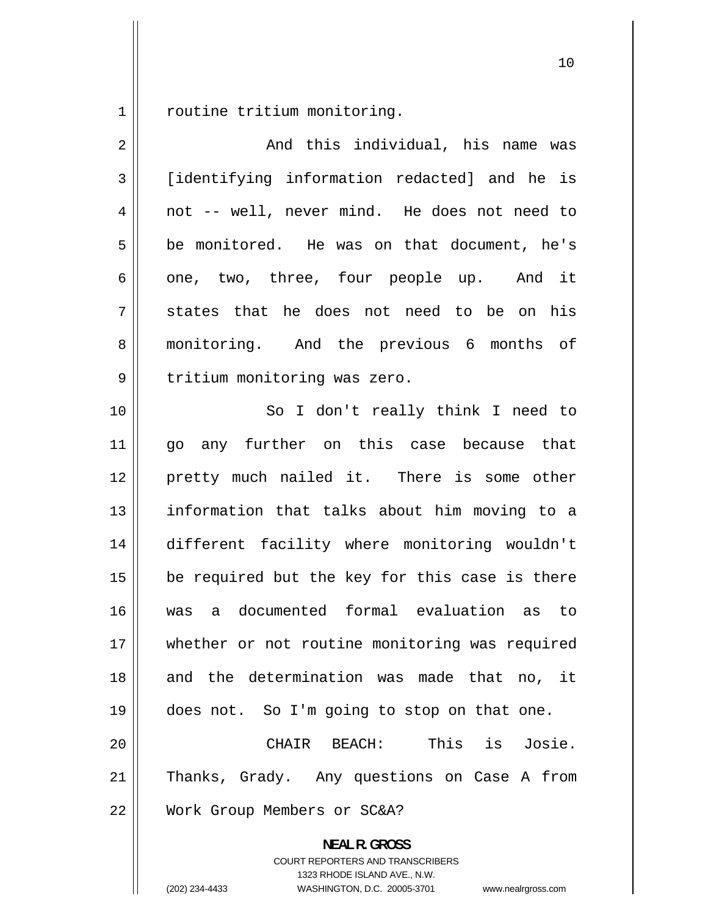<span id="page-9-0"></span>1 routine tritium monitoring.

| $\overline{2}$ | And this individual, his name was                                                                                                                                      |
|----------------|------------------------------------------------------------------------------------------------------------------------------------------------------------------------|
| $\mathfrak{Z}$ | [identifying information redacted] and he is                                                                                                                           |
| 4              | not -- well, never mind. He does not need to                                                                                                                           |
| 5              | be monitored. He was on that document, he's                                                                                                                            |
| 6              | one, two, three, four people up. And it                                                                                                                                |
| 7              | states that he does not need to be on his                                                                                                                              |
| 8              | monitoring. And the previous 6 months of                                                                                                                               |
| 9              | tritium monitoring was zero.                                                                                                                                           |
| 10             | So I don't really think I need to                                                                                                                                      |
| 11             | go any further on this case because that                                                                                                                               |
| 12             | pretty much nailed it. There is some other                                                                                                                             |
| 13             | information that talks about him moving to a                                                                                                                           |
| 14             | different facility where monitoring wouldn't                                                                                                                           |
| 15             | be required but the key for this case is there                                                                                                                         |
| 16             | was a documented formal evaluation as to                                                                                                                               |
| 17             | whether or not routine monitoring was required                                                                                                                         |
| 18             | and the determination was made that no, it                                                                                                                             |
| 19             | does not. So I'm going to stop on that one.                                                                                                                            |
| 20             | This is Josie.<br>CHAIR BEACH:                                                                                                                                         |
| 21             | Thanks, Grady. Any questions on Case A from                                                                                                                            |
| 22             | Work Group Members or SC&A?                                                                                                                                            |
|                | <b>NEAL R. GROSS</b><br><b>COURT REPORTERS AND TRANSCRIBERS</b><br>1323 RHODE ISLAND AVE., N.W.<br>(202) 234-4433<br>WASHINGTON, D.C. 20005-3701<br>www.nealrgross.com |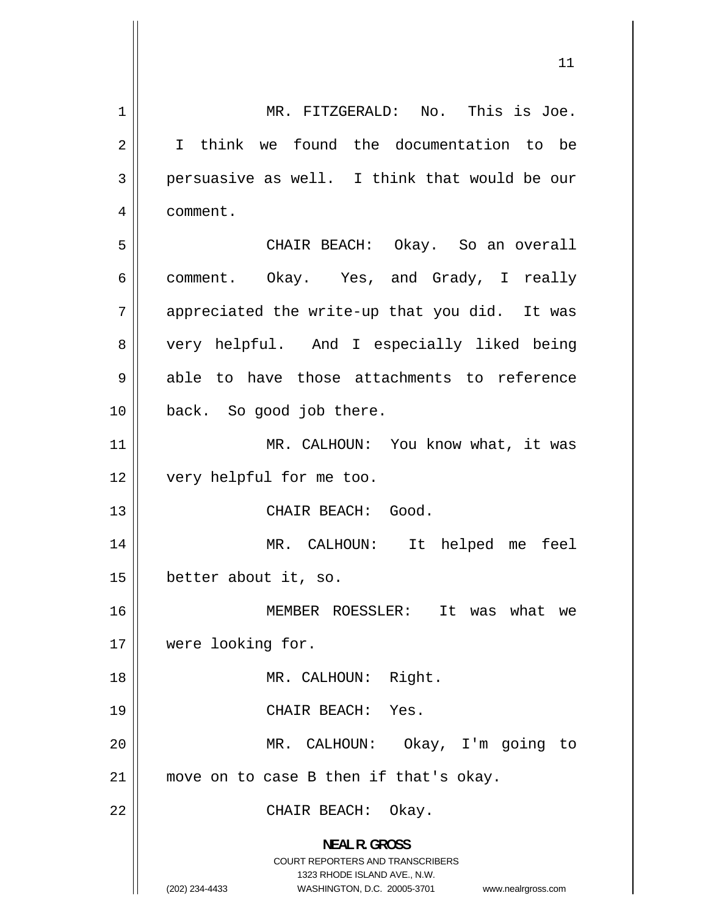<span id="page-10-0"></span>1 2 3 4 5 6 7 8 9 10 11 12 13 14 15 16 17 18 19 20 21 22 **NEAL R. GROSS**  COURT REPORTERS AND TRANSCRIBERS 1323 RHODE ISLAND AVE., N.W. (202) 234-4433 WASHINGTON, D.C. 20005-3701 www.nealrgross.com MR. FITZGERALD: No. This is Joe. I think we found the documentation to be persuasive as well. I think that would be our comment. CHAIR BEACH: Okay. So an overall comment. Okay. Yes, and Grady, I really appreciated the write-up that you did. It was very helpful. And I especially liked being able to have those attachments to reference back. So good job there. MR. CALHOUN: You know what, it was very helpful for me too. CHAIR BEACH: Good. MR. CALHOUN: It helped me feel better about it, so. MEMBER ROESSLER: It was what we were looking for. MR. CALHOUN: Right. CHAIR BEACH: Yes. MR. CALHOUN: Okay, I'm going to move on to case B then if that's okay. CHAIR BEACH: Okay.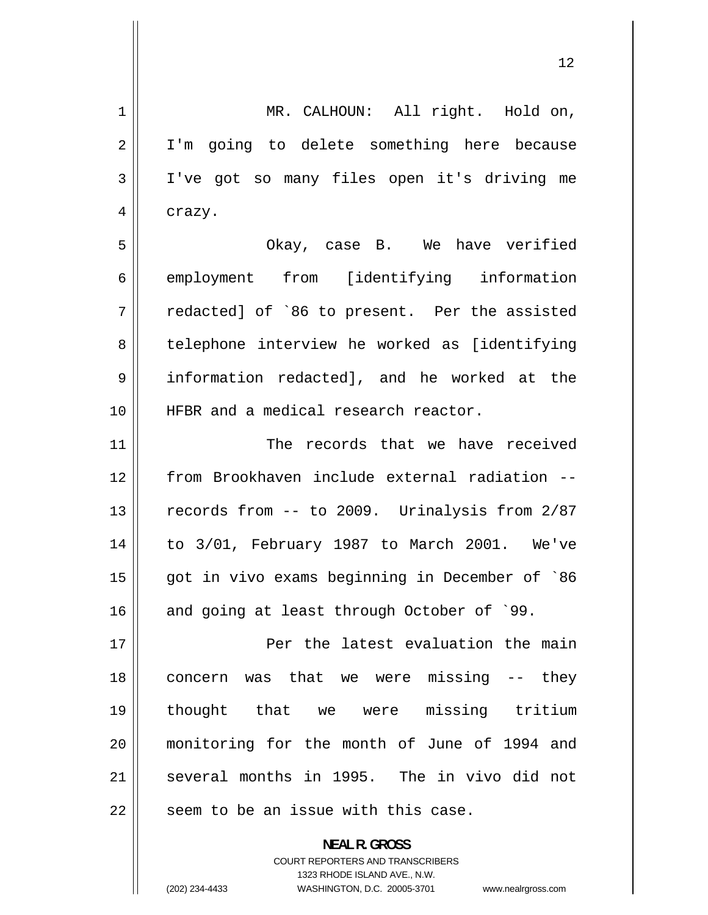<span id="page-11-0"></span> MR. CALHOUN: All right. Hold on, I'm going to delete something here because I've got so many files open it's driving me crazy. 1 2 3 4 5 6 7 8 9 10 11 12 13 14 15 16 17 18 19 20 21 22 Okay, case B. We have verified employment from [identifying information redacted] of `86 to present. Per the assisted telephone interview he worked as [identifying information redacted], and he worked at the HFBR and a medical research reactor. The records that we have received from Brookhaven include external radiation - records from -- to 2009. Urinalysis from 2/87 to 3/01, February 1987 to March 2001. We've got in vivo exams beginning in December of `86 and going at least through October of `99. Per the latest evaluation the main concern was that we were missing -- they thought that we were missing tritium monitoring for the month of June of 1994 and several months in 1995. The in vivo did not seem to be an issue with this case.

> **NEAL R. GROSS**  COURT REPORTERS AND TRANSCRIBERS

1323 RHODE ISLAND AVE., N.W. (202) 234-4433 WASHINGTON, D.C. 20005-3701 www.nealrgross.com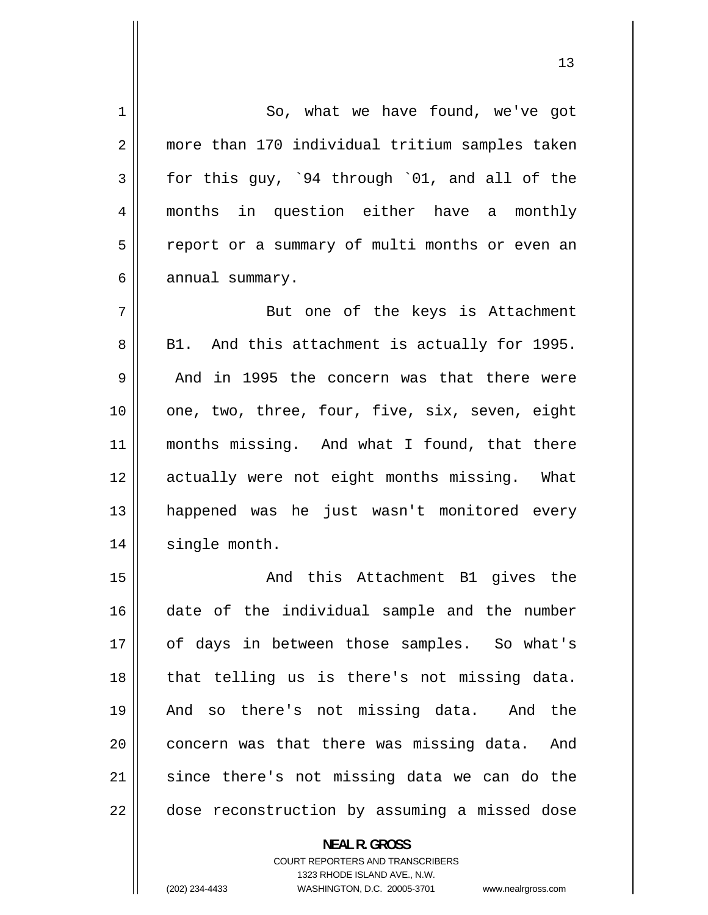<span id="page-12-0"></span>

| $\mathbf{1}$   | So, what we have found, we've got                                                                   |
|----------------|-----------------------------------------------------------------------------------------------------|
| $\overline{2}$ | more than 170 individual tritium samples taken                                                      |
| 3              | for this guy, `94 through `01, and all of the                                                       |
| 4              | months in question either have a monthly                                                            |
| 5              | report or a summary of multi months or even an                                                      |
| 6              | annual summary.                                                                                     |
| 7              | But one of the keys is Attachment                                                                   |
| 8              | B1. And this attachment is actually for 1995.                                                       |
| 9              | And in 1995 the concern was that there were                                                         |
| 10             | one, two, three, four, five, six, seven, eight                                                      |
| 11             | months missing. And what I found, that there                                                        |
| 12             | actually were not eight months missing. What                                                        |
| 13             | happened was he just wasn't monitored every                                                         |
| 14             | single month.                                                                                       |
| 15             | And this Attachment B1 gives the                                                                    |
| 16             | date of the individual sample and the number                                                        |
| 17             | of days in between those samples. So what's                                                         |
| 18             | that telling us is there's not missing data.                                                        |
| 19             | And so there's not missing data. And the                                                            |
| 20             | concern was that there was missing data. And                                                        |
| 21             | since there's not missing data we can do the                                                        |
| 22             | dose reconstruction by assuming a missed dose                                                       |
|                | <b>NEAL R. GROSS</b>                                                                                |
|                |                                                                                                     |
|                | <b>COURT REPORTERS AND TRANSCRIBERS</b>                                                             |
|                | 1323 RHODE ISLAND AVE., N.W.<br>(202) 234-4433<br>WASHINGTON, D.C. 20005-3701<br>www.nealrgross.com |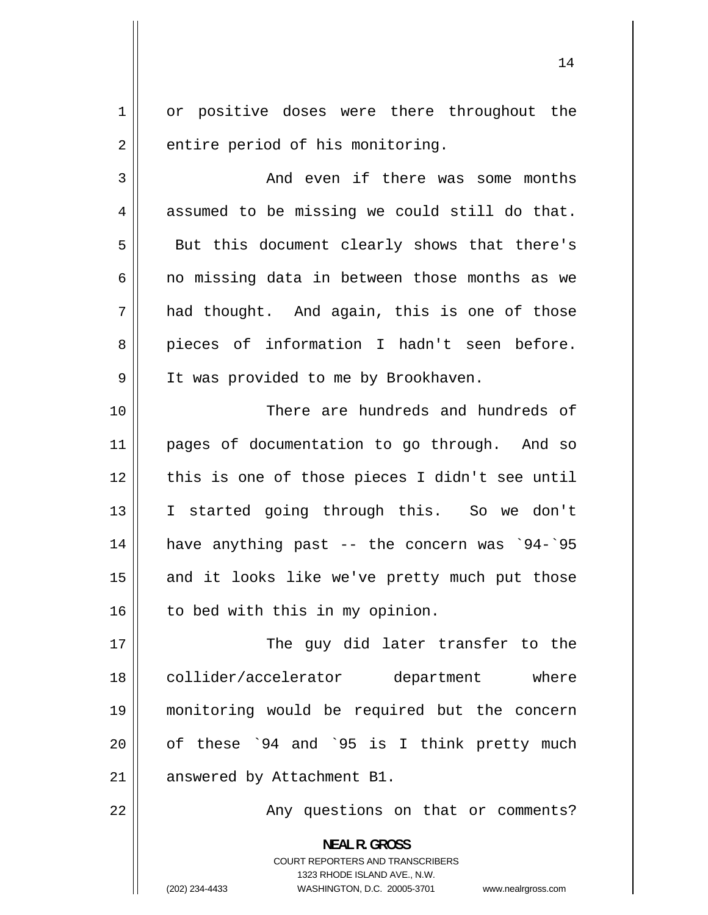<span id="page-13-0"></span>1 2 or positive doses were there throughout the entire period of his monitoring.

3 4 5 6 7 8 9 And even if there was some months assumed to be missing we could still do that. But this document clearly shows that there's no missing data in between those months as we had thought. And again, this is one of those pieces of information I hadn't seen before. It was provided to me by Brookhaven.

10 11 12 13 14 15 16 There are hundreds and hundreds of pages of documentation to go through. And so this is one of those pieces I didn't see until I started going through this. So we don't have anything past -- the concern was `94-`95 and it looks like we've pretty much put those to bed with this in my opinion.

17 18 19 20 21 The guy did later transfer to the collider/accelerator department where monitoring would be required but the concern of these `94 and `95 is I think pretty much answered by Attachment B1.

22

Any questions on that or comments?

**NEAL R. GROSS**  COURT REPORTERS AND TRANSCRIBERS 1323 RHODE ISLAND AVE., N.W. (202) 234-4433 WASHINGTON, D.C. 20005-3701 www.nealrgross.com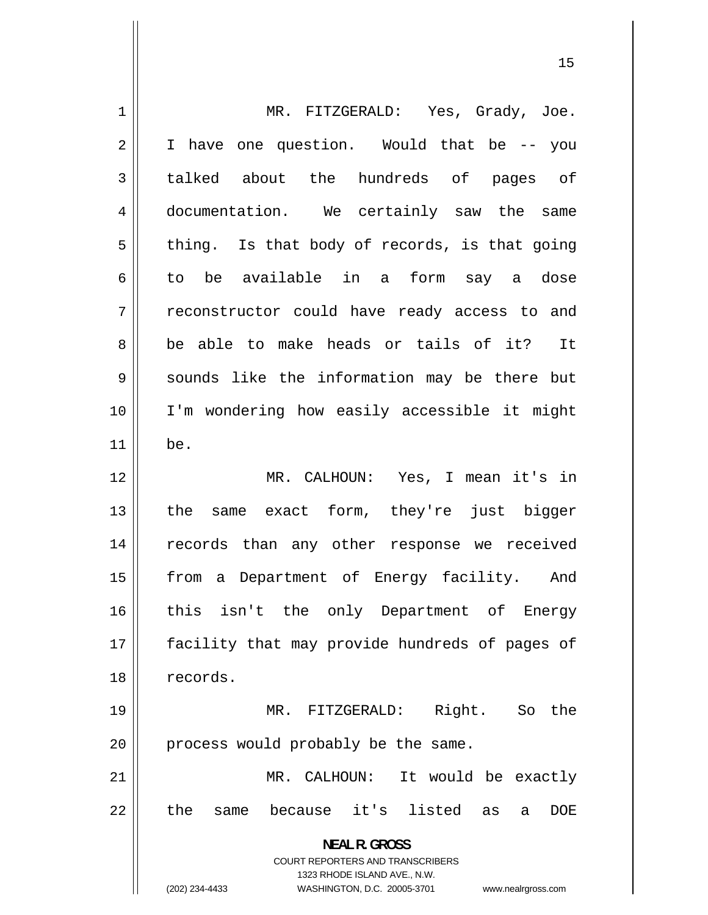<span id="page-14-0"></span>

| 1              | MR. FITZGERALD: Yes, Grady, Joe.                                    |
|----------------|---------------------------------------------------------------------|
| $\overline{2}$ | I have one question. Would that be -- you                           |
| 3              | talked about the hundreds of pages of                               |
| 4              | documentation. We certainly saw the same                            |
| 5              | thing. Is that body of records, is that going                       |
| 6              | to be available in a form say a dose                                |
| 7              | reconstructor could have ready access to and                        |
| 8              | be able to make heads or tails of it? It                            |
| 9              | sounds like the information may be there but                        |
| 10             | I'm wondering how easily accessible it might                        |
| 11             | be.                                                                 |
| 12             | MR. CALHOUN: Yes, I mean it's in                                    |
| 13             | the same exact form, they're just bigger                            |
| 14             | records than any other response we received                         |
| 15             | from a Department of Energy facility. And                           |
| 16             | this isn't the only Department of<br>Energy                         |
| 17             | facility that may provide hundreds of pages of                      |
| 18             | records.                                                            |
| 19             | Right. So the<br>MR. FITZGERALD:                                    |
| 20             | process would probably be the same.                                 |
| 21             | MR. CALHOUN: It would be exactly                                    |
| 22             | because it's listed<br>the<br><b>DOE</b><br>same<br>as<br>a         |
|                | <b>NEAL R. GROSS</b>                                                |
|                | COURT REPORTERS AND TRANSCRIBERS<br>1323 RHODE ISLAND AVE., N.W.    |
|                | (202) 234-4433<br>WASHINGTON, D.C. 20005-3701<br>www.nealrgross.com |
|                |                                                                     |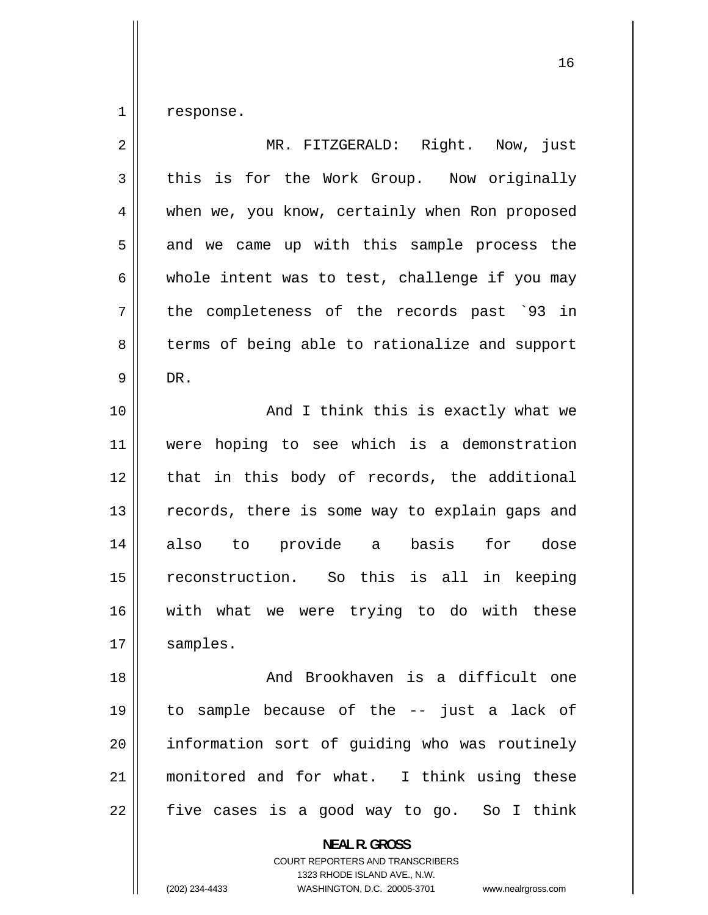<span id="page-15-0"></span>1 response.

| $\overline{2}$ | MR. FITZGERALD: Right. Now, just               |
|----------------|------------------------------------------------|
| $\mathfrak{Z}$ | this is for the Work Group. Now originally     |
| 4              | when we, you know, certainly when Ron proposed |
| 5              | and we came up with this sample process the    |
| 6              | whole intent was to test, challenge if you may |
| 7              | the completeness of the records past `93 in    |
| 8              | terms of being able to rationalize and support |
| 9              | DR.                                            |
| 10             | And I think this is exactly what we            |
| 11             | were hoping to see which is a demonstration    |
| 12             | that in this body of records, the additional   |
| 13             | records, there is some way to explain gaps and |
| 14             | to provide a<br>basis<br>for dose<br>also      |
| 15             | reconstruction. So this is all in keeping      |
| 16             | with what we were trying to do with these      |
| 17             | samples.                                       |
| 18             | And Brookhaven is a difficult one              |
| 19             | to sample because of the -- just a lack of     |
| 20             | information sort of guiding who was routinely  |
| 21             | monitored and for what. I think using these    |
| 22             | five cases is a good way to go. So I think     |
|                | <b>NEAL R. GROSS</b>                           |

COURT REPORTERS AND TRANSCRIBERS 1323 RHODE ISLAND AVE., N.W.

 $\mathsf{I}$ 

(202) 234-4433 WASHINGTON, D.C. 20005-3701 www.nealrgross.com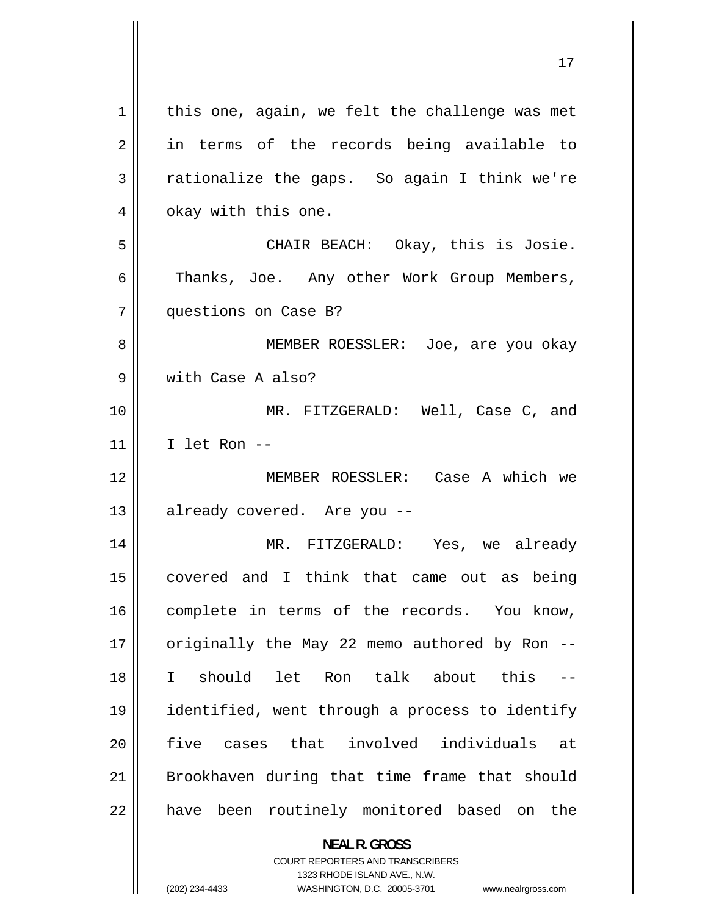<span id="page-16-0"></span>

| 1  | this one, again, we felt the challenge was met           |
|----|----------------------------------------------------------|
| 2  | in terms of the records being available to               |
| 3  | rationalize the gaps. So again I think we're             |
| 4  | okay with this one.                                      |
| 5  | CHAIR BEACH: Okay, this is Josie.                        |
| 6  | Thanks, Joe. Any other Work Group Members,               |
| 7  | questions on Case B?                                     |
| 8  | MEMBER ROESSLER: Joe, are you okay                       |
| 9  | with Case A also?                                        |
| 10 | MR. FITZGERALD: Well, Case C, and                        |
| 11 | I let Ron --                                             |
| 12 | MEMBER ROESSLER: Case A which we                         |
| 13 | already covered. Are you --                              |
| 14 | MR. FITZGERALD: Yes, we already                          |
| 15 | covered and I think that came out as being               |
| 16 | complete in terms of the records. You know,              |
| 17 | originally the May 22 memo authored by Ron --            |
| 18 | should let Ron talk about this<br>$\mathbf{I}$<br>$-\,-$ |
| 19 | identified, went through a process to identify           |
| 20 | cases that involved individuals at<br>five               |
| 21 | Brookhaven during that time frame that should            |
| 22 | have been routinely monitored based on the               |
|    | <b>NEAL R. GROSS</b><br>COURT REPORTERS AND TRANSCRIBERS |

1323 RHODE ISLAND AVE., N.W.

 $\prod$ 

(202) 234-4433 WASHINGTON, D.C. 20005-3701 www.nealrgross.com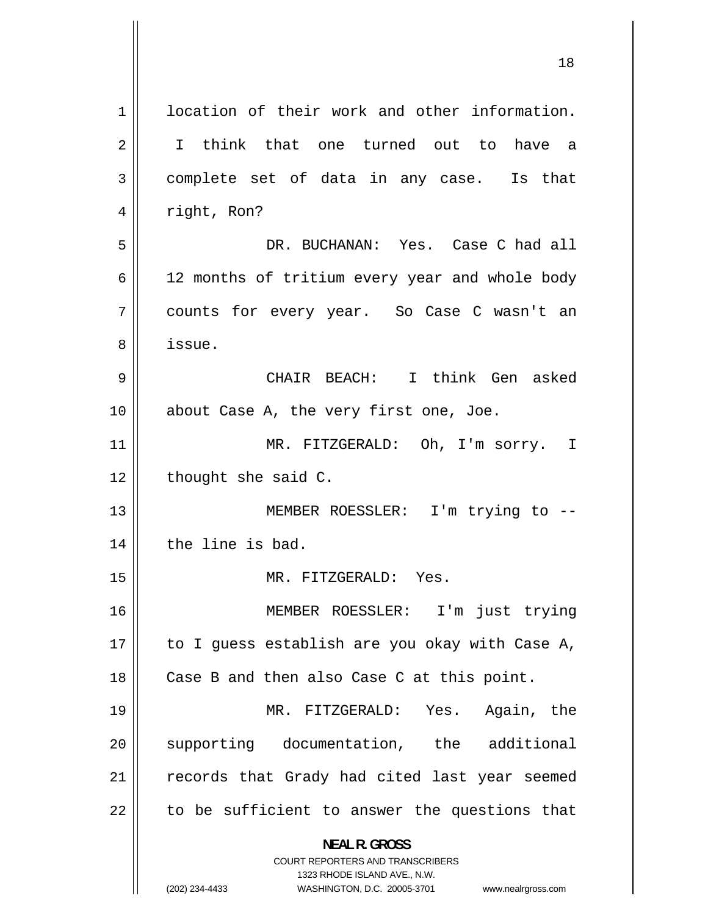<span id="page-17-0"></span>

|             | ⊥○                                                                      |
|-------------|-------------------------------------------------------------------------|
| $\mathbf 1$ | location of their work and other information.                           |
| 2           | I think that one turned out to have a                                   |
| 3           | complete set of data in any case. Is that                               |
| 4           | right, Ron?                                                             |
| 5           | DR. BUCHANAN: Yes. Case C had all                                       |
| 6           | 12 months of tritium every year and whole body                          |
| 7           | counts for every year. So Case C wasn't an                              |
| 8           | issue.                                                                  |
| 9           | CHAIR BEACH: I think Gen asked                                          |
| 10          | about Case A, the very first one, Joe.                                  |
| 11          | MR. FITZGERALD: Oh, I'm sorry. I                                        |
| 12          | thought she said C.                                                     |
| 13          | MEMBER ROESSLER: I'm trying to --                                       |
| 14          | the line is bad.                                                        |
| 15          | MR. FITZGERALD:<br>Yes.                                                 |
| 16          | MEMBER ROESSLER: I'm just trying                                        |
| 17          | to I guess establish are you okay with Case A,                          |
| 18          | Case B and then also Case C at this point.                              |
| 19          | MR. FITZGERALD: Yes. Again, the                                         |
| 20          | supporting documentation, the additional                                |
| 21          | records that Grady had cited last year seemed                           |
| 22          | to be sufficient to answer the questions that                           |
|             | <b>NEAL R. GROSS</b>                                                    |
|             | <b>COURT REPORTERS AND TRANSCRIBERS</b><br>1323 RHODE ISLAND AVE., N.W. |
|             | (202) 234-4433<br>WASHINGTON, D.C. 20005-3701<br>www.nealrgross.com     |

 $\overline{\mathbf{1}}$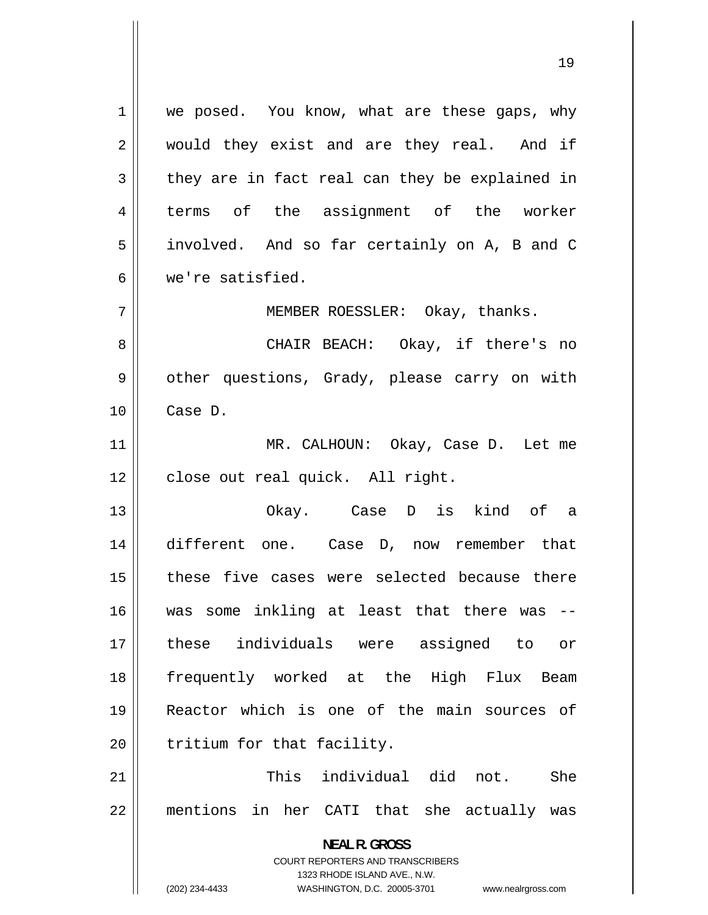<span id="page-18-0"></span>**NEAL R. GROSS**  COURT REPORTERS AND TRANSCRIBERS 1 we posed. You know, what are these gaps, why would they exist and are they real. And if they are in fact real can they be explained in terms of the assignment of the worker 2 3 4 5 involved. And so far certainly on A, B and C 6 we're satisfied. 7 MEMBER ROESSLER: Okay, thanks. 8 CHAIR BEACH: Okay, if there's no 9 other questions, Grady, please carry on with 10 11 12 13 14 15 16 17 18 19 20 21 22 Case D. MR. CALHOUN: Okay, Case D. Let me close out real quick. All right. Okay. Case D is kind of a different one. Case D, now remember that these five cases were selected because there was some inkling at least that there was - these individuals were assigned to or frequently worked at the High Flux Beam Reactor which is one of the main sources of tritium for that facility. This individual did not. She mentions in her CATI that she actually was

1323 RHODE ISLAND AVE., N.W.

(202) 234-4433 WASHINGTON, D.C. 20005-3701 www.nealrgross.com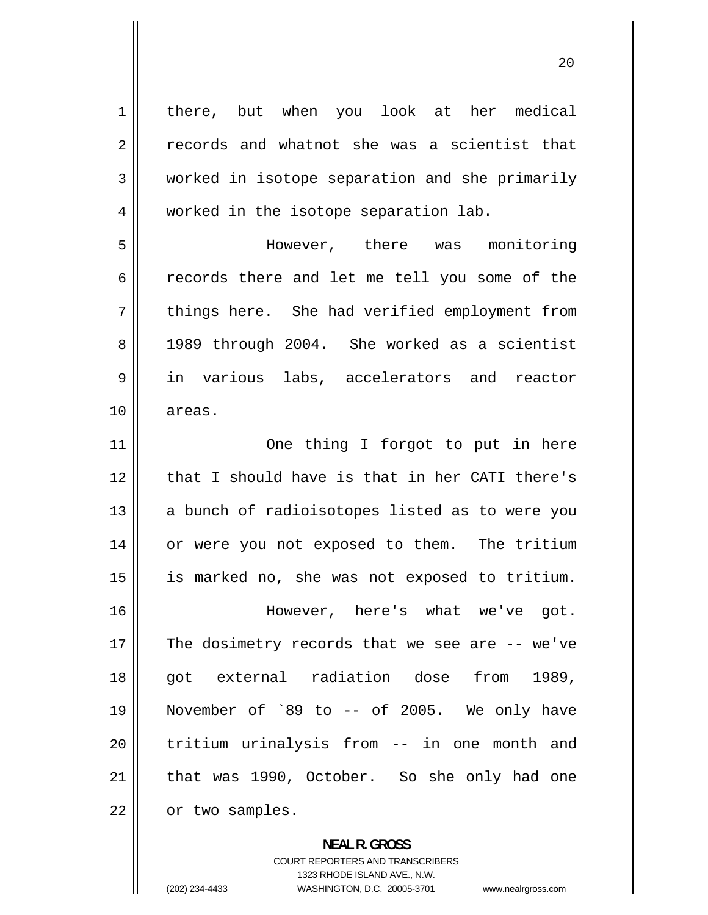<span id="page-19-0"></span>1 there, but when you look at her medical records and whatnot she was a scientist that worked in isotope separation and she primarily worked in the isotope separation lab. 2 3 [4](#page-3-0) [5](#page-4-0) However, there was monitoring [6](#page-5-0) records there and let me tell you some of the [7](#page-6-0) things here. She had verified employment from [8](#page-7-0) 1989 through 2004. She worked as a scientist [9](#page-8-0) in various labs, accelerators and reactor [10](#page-9-0) areas. [11](#page-10-0) One thing I forgot to put in here [12](#page-11-0) that I should have is that in her CATI there's [13](#page-12-0) a bunch of radioisotopes listed as to were you [14](#page-13-0) or were you not exposed to them. The tritium [15](#page-14-0) is marked no, she was not exposed to tritium. [16](#page-15-0) However, here's what we've got. [17](#page-16-0) The dosimetry records that we see are  $-$ - we've [18](#page-17-0) got external radiation dose from 1989, [19](#page-18-0) November of `89 to -- of 2005. We only have 20 tritium urinalysis from -- in one month and [21](#page-20-0) that was 1990, October. So she only had one [22](#page-21-0) or two samples.

> **NEAL R. GROSS**  COURT REPORTERS AND TRANSCRIBERS 1323 RHODE ISLAND AVE., N.W. (202) 234-4433 WASHINGTON, D.C. 20005-3701 www.nealrgross.com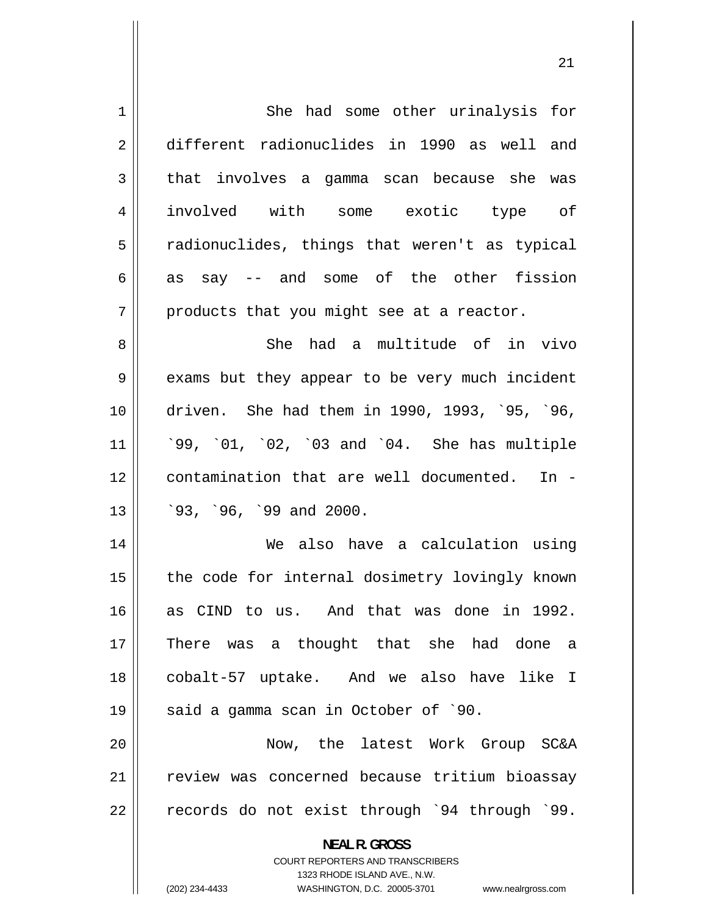<span id="page-20-0"></span>

| $\mathbf 1$ | She had some other urinalysis for                                                                   |
|-------------|-----------------------------------------------------------------------------------------------------|
| $\sqrt{2}$  | different radionuclides in 1990 as well and                                                         |
| 3           | that involves a gamma scan because she was                                                          |
| 4           | involved with some exotic type of                                                                   |
| 5           | radionuclides, things that weren't as typical                                                       |
| 6           | as say -- and some of the other fission                                                             |
| 7           | products that you might see at a reactor.                                                           |
| 8           | She had a multitude of in vivo                                                                      |
| 9           | exams but they appear to be very much incident                                                      |
| 10          | driven. She had them in 1990, 1993, '95, '96,                                                       |
| 11          | '99, '01, '02, '03 and '04. She has multiple                                                        |
| 12          | contamination that are well documented. In -                                                        |
| 13          | $93, 96, 99$ and 2000.                                                                              |
| 14          | We also have a calculation using                                                                    |
| 15          | the code for internal dosimetry lovingly known                                                      |
|             |                                                                                                     |
| 16          | as CIND to us. And that was done in 1992.                                                           |
| 17          | There was a thought that she had done<br>a                                                          |
| 18          | cobalt-57 uptake. And we also have like I                                                           |
| 19          | said a gamma scan in October of `90.                                                                |
| 20          | Now, the latest Work Group SC&A                                                                     |
| 21          | review was concerned because tritium bioassay                                                       |
| 22          | records do not exist through `94 through `99.                                                       |
|             | <b>NEAL R. GROSS</b>                                                                                |
|             | <b>COURT REPORTERS AND TRANSCRIBERS</b>                                                             |
|             | 1323 RHODE ISLAND AVE., N.W.<br>(202) 234-4433<br>WASHINGTON, D.C. 20005-3701<br>www.nealrgross.com |
|             |                                                                                                     |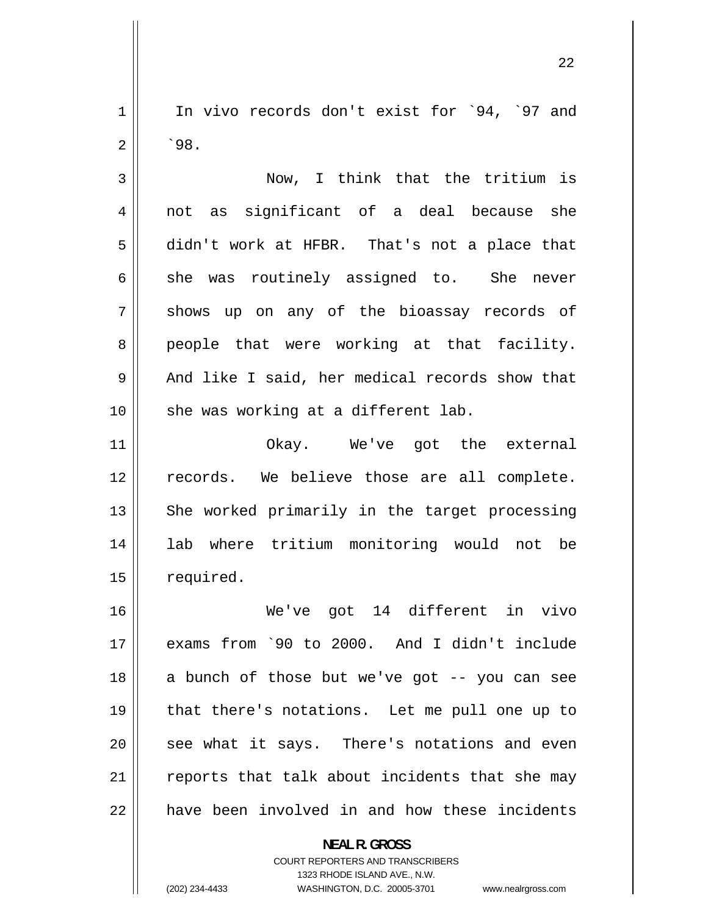<span id="page-21-0"></span>In vivo records don't exist for `94, `97 and 1 2 `98.

3 4 5 6 7 8 9 10 Now, I think that the tritium is not as significant of a deal because she didn't work at HFBR. That's not a place that she was routinely assigned to. She never shows up on any of the bioassay records of people that were working at that facility. And like I said, her medical records show that she was working at a different lab.

11 12 13 14 15 Okay. We've got the external records. We believe those are all complete. She worked primarily in the target processing lab where tritium monitoring would not be required.

16 17 18 19 20 21 22 We've got 14 different in vivo exams from `90 to 2000. And I didn't include a bunch of those but we've got -- you can see that there's notations. Let me pull one up to see what it says. There's notations and even reports that talk about incidents that she may have been involved in and how these incidents

> **NEAL R. GROSS**  COURT REPORTERS AND TRANSCRIBERS 1323 RHODE ISLAND AVE., N.W. (202) 234-4433 WASHINGTON, D.C. 20005-3701 www.nealrgross.com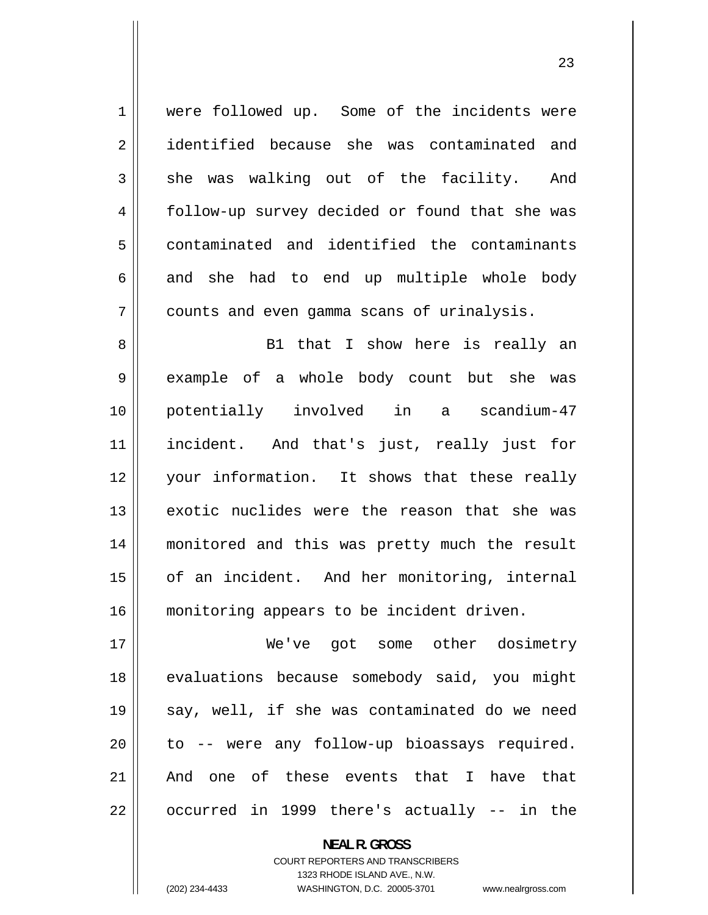1 2 3 4 5 6 7 8 9 10 11 12 13 14 15 16 were followed up. Some of the incidents were identified because she was contaminated and she was walking out of the facility. And follow-up survey decided or found that she was contaminated and identified the contaminants and she had to end up multiple whole body counts and even gamma scans of urinalysis. B1 that I show here is really an example of a whole body count but she was potentially involved in a scandium-47 incident. And that's just, really just for your information. It shows that these really exotic nuclides were the reason that she was monitored and this was pretty much the result of an incident. And her monitoring, internal monitoring appears to be incident driven.

17 18 19 20 21 22 We've got some other dosimetry evaluations because somebody said, you might say, well, if she was contaminated do we need to -- were any follow-up bioassays required. And one of these events that I have that occurred in 1999 there's actually -- in the

> **NEAL R. GROSS**  COURT REPORTERS AND TRANSCRIBERS 1323 RHODE ISLAND AVE., N.W. (202) 234-4433 WASHINGTON, D.C. 20005-3701 www.nealrgross.com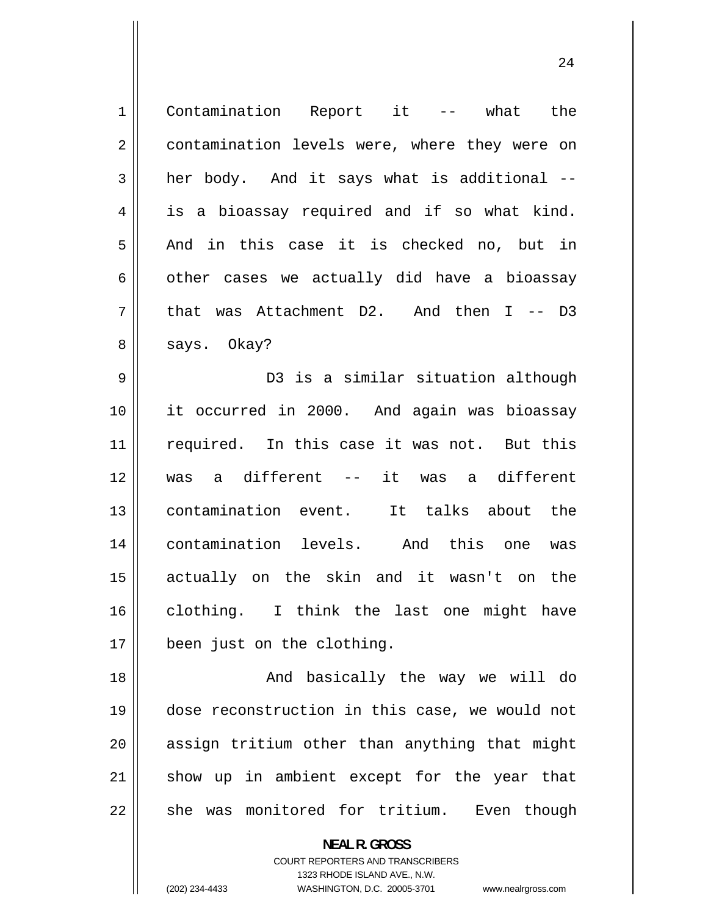| $1\,$          | Contamination Report it -- what the            |
|----------------|------------------------------------------------|
| $\overline{2}$ | contamination levels were, where they were on  |
| 3              | her body. And it says what is additional --    |
| 4              | is a bioassay required and if so what kind.    |
| 5              | And in this case it is checked no, but in      |
| 6              | other cases we actually did have a bioassay    |
| 7              | that was Attachment $D2$ . And then I -- D3    |
| 8              | says. Okay?                                    |
| 9              | D3 is a similar situation although             |
| 10             | it occurred in 2000. And again was bioassay    |
| 11             | required. In this case it was not. But this    |
| 12             | a different -- it was a different<br>was       |
| 13             | contamination event.<br>It talks about the     |
| 14             | contamination levels. And this one<br>was      |
| 15             | actually on the skin and it wasn't on the      |
| 16             | clothing. I think the last one might have      |
| 17             | been just on the clothing.                     |
| 18             | And basically the way we will do               |
| 19             | dose reconstruction in this case, we would not |
| 20             | assign tritium other than anything that might  |
| 21             | show up in ambient except for the year that    |
| 22             | she was monitored for tritium. Even though     |

**NEAL R. GROSS**  COURT REPORTERS AND TRANSCRIBERS

1323 RHODE ISLAND AVE., N.W.

(202) 234-4433 WASHINGTON, D.C. 20005-3701 www.nealrgross.com

 $\mathsf{I}$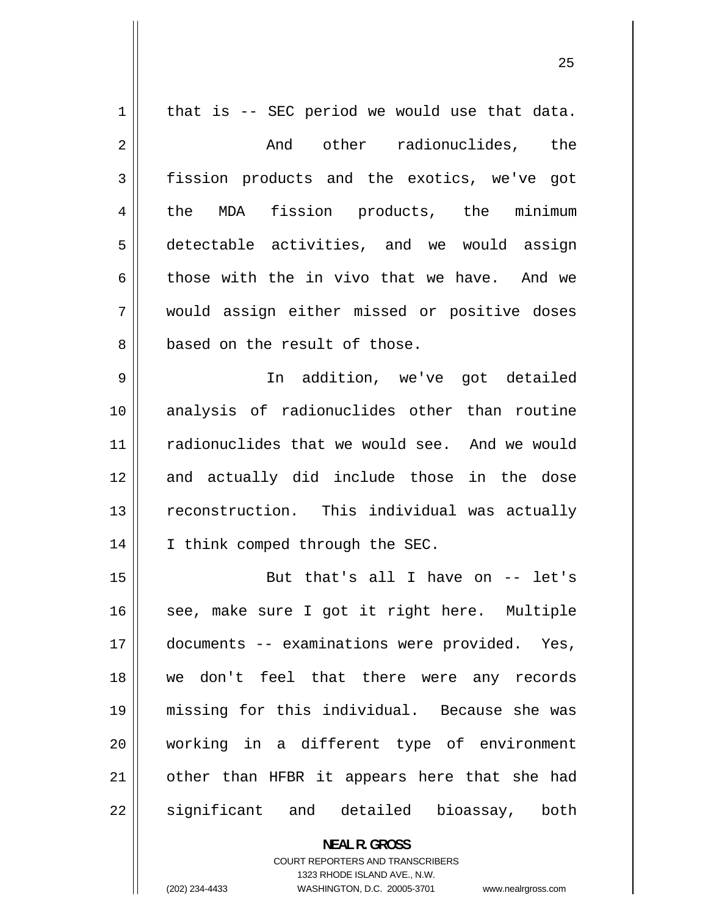| $\mathbf 1$ | that is -- SEC period we would use that data. |
|-------------|-----------------------------------------------|
| $\sqrt{2}$  | And other radionuclides, the                  |
| 3           | fission products and the exotics, we've got   |
| 4           | MDA fission products, the minimum<br>the      |
| 5           | detectable activities, and we would assign    |
| 6           | those with the in vivo that we have. And we   |
| 7           | would assign either missed or positive doses  |
| 8           | based on the result of those.                 |
| 9           | In addition, we've got detailed               |
| 10          | analysis of radionuclides other than routine  |
| 11          | radionuclides that we would see. And we would |
| 12          | and actually did include those in the dose    |
| 13          | reconstruction. This individual was actually  |
| 14          | I think comped through the SEC.               |
| 15          | But that's all I have on -- let's             |
| 16          | see, make sure I got it right here. Multiple  |
| 17          | documents -- examinations were provided. Yes, |
| 18          | we don't feel that there were any records     |
| 19          | missing for this individual. Because she was  |
| 20          | working in a different type of environment    |
| 21          | other than HFBR it appears here that she had  |
| 22          | significant and detailed<br>bioassay, both    |

**NEAL R. GROSS**  COURT REPORTERS AND TRANSCRIBERS 1323 RHODE ISLAND AVE., N.W.

 $\mathsf{II}$ 

(202) 234-4433 WASHINGTON, D.C. 20005-3701 www.nealrgross.com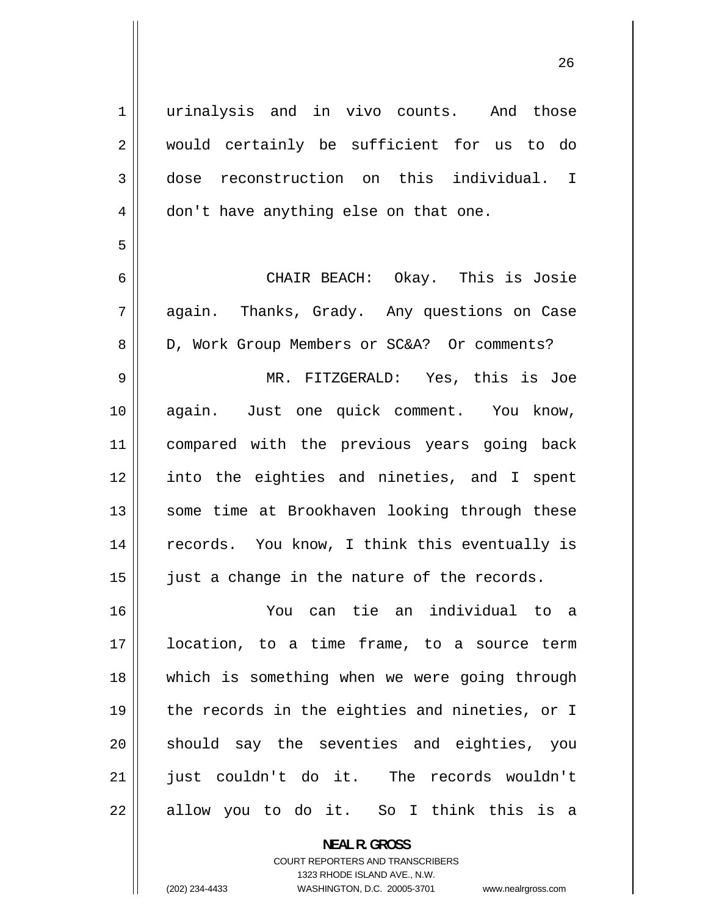urinalysis and in vivo counts. And those would certainly be sufficient for us to do dose reconstruction on this individual. I don't have anything else on that one.

6 7 8 9 10 CHAIR BEACH: Okay. This is Josie again. Thanks, Grady. Any questions on Case D, Work Group Members or SC&A? Or comments? MR. FITZGERALD: Yes, this is Joe again. Just one quick comment. You know, 11 12 13 14 15 compared with the previous years going back into the eighties and nineties, and I spent some time at Brookhaven looking through these records. You know, I think this eventually is just a change in the nature of the records.

16 17 You can tie an individual to a location, to a time frame, to a source term 18 19 20 21 22 which is something when we were going through the records in the eighties and nineties, or I should say the seventies and eighties, you just couldn't do it. The records wouldn't allow you to do it. So I think this is a

> **NEAL R. GROSS**  COURT REPORTERS AND TRANSCRIBERS 1323 RHODE ISLAND AVE., N.W. (202) 234-4433 WASHINGTON, D.C. 20005-3701 www.nealrgross.com

1

2

3

4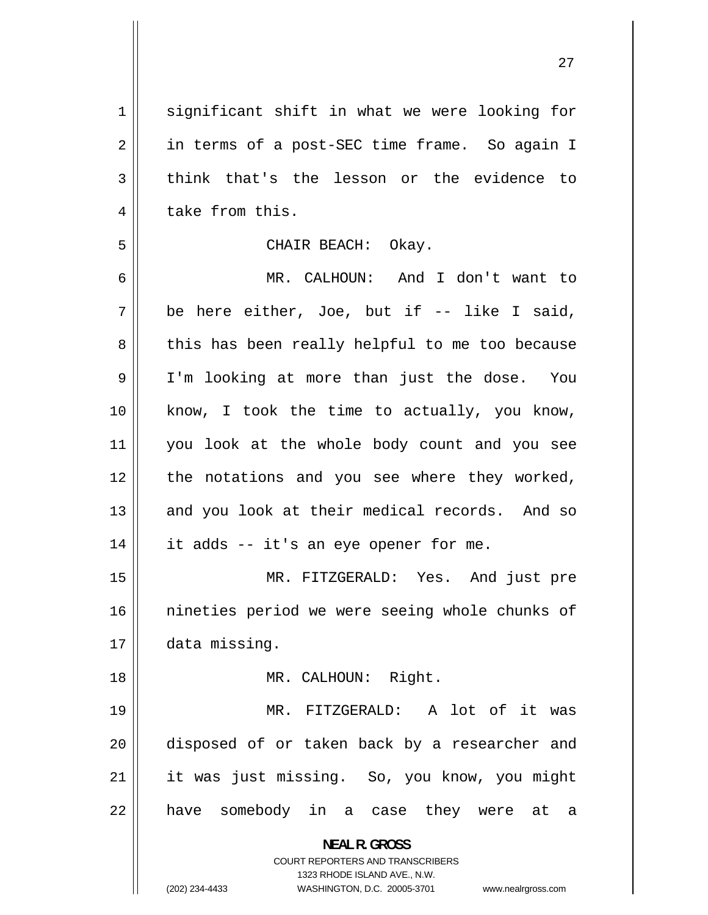**NEAL R. GROSS**  COURT REPORTERS AND TRANSCRIBERS 1323 RHODE ISLAND AVE., N.W. (202) 234-4433 WASHINGTON, D.C. 20005-3701 www.nealrgross.com 1 2 3 4 5 6 7 8 9 10 11 12 13 14 15 16 17 18 19 20 21 22 significant shift in what we were looking for in terms of a post-SEC time frame. So again I think that's the lesson or the evidence to take from this. CHAIR BEACH: Okay. MR. CALHOUN: And I don't want to be here either, Joe, but if -- like I said, this has been really helpful to me too because I'm looking at more than just the dose. You know, I took the time to actually, you know, you look at the whole body count and you see the notations and you see where they worked, and you look at their medical records. And so it adds -- it's an eye opener for me. MR. FITZGERALD: Yes. And just pre nineties period we were seeing whole chunks of data missing. MR. CALHOUN: Right. MR. FITZGERALD: A lot of it was disposed of or taken back by a researcher and it was just missing. So, you know, you might have somebody in a case they were at a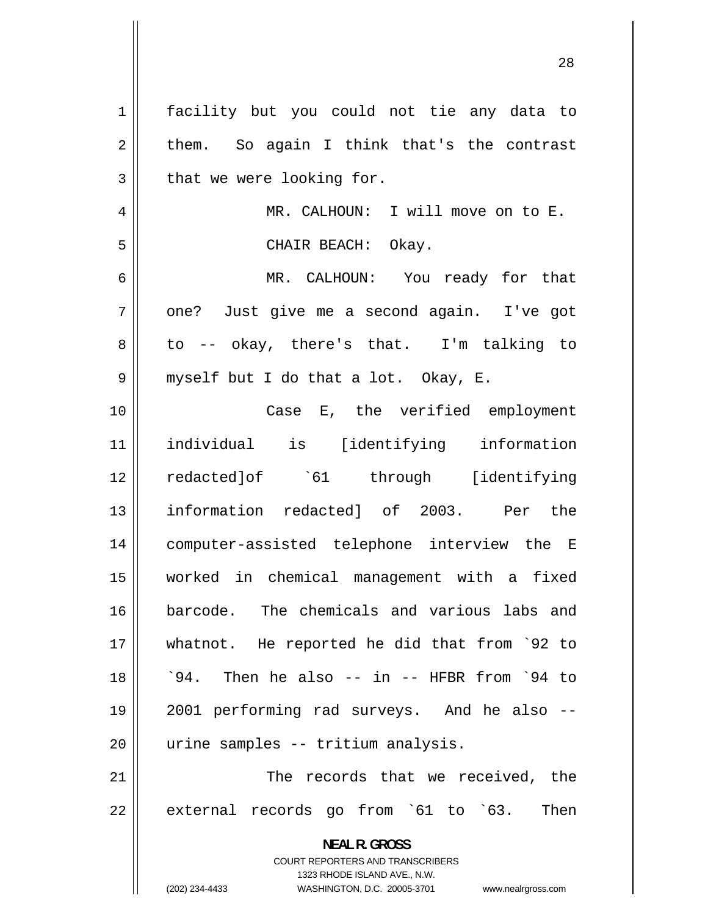| $\mathbf 1$ | facility but you could not tie any data to                                                                                                                   |
|-------------|--------------------------------------------------------------------------------------------------------------------------------------------------------------|
| 2           | them. So again I think that's the contrast                                                                                                                   |
| 3           | that we were looking for.                                                                                                                                    |
| 4           | MR. CALHOUN: I will move on to E.                                                                                                                            |
| 5           | CHAIR BEACH: Okay.                                                                                                                                           |
| 6           | MR. CALHOUN: You ready for that                                                                                                                              |
| 7           | one? Just give me a second again. I've got                                                                                                                   |
| 8           | to -- okay, there's that. I'm talking to                                                                                                                     |
| 9           | myself but I do that a lot. Okay, E.                                                                                                                         |
| 10          | Case E, the verified employment                                                                                                                              |
| 11          | individual is [identifying information                                                                                                                       |
| 12          |                                                                                                                                                              |
| 13          | information redacted] of 2003. Per the                                                                                                                       |
| 14          | computer-assisted telephone interview the E                                                                                                                  |
| 15          | worked in chemical management with a fixed                                                                                                                   |
| 16          | barcode. The chemicals and various labs and                                                                                                                  |
| 17          | whatnot. He reported he did that from `92 to                                                                                                                 |
| 18          | '94. Then he also -- in -- HFBR from '94 to                                                                                                                  |
| 19          | 2001 performing rad surveys. And he also --                                                                                                                  |
| 20          | urine samples -- tritium analysis.                                                                                                                           |
| 21          | The records that we received, the                                                                                                                            |
| 22          | external records go from `61 to `63.<br>Then                                                                                                                 |
|             | <b>NEAL R. GROSS</b><br>COURT REPORTERS AND TRANSCRIBERS<br>1323 RHODE ISLAND AVE., N.W.<br>(202) 234-4433<br>WASHINGTON, D.C. 20005-3701 www.nealrgross.com |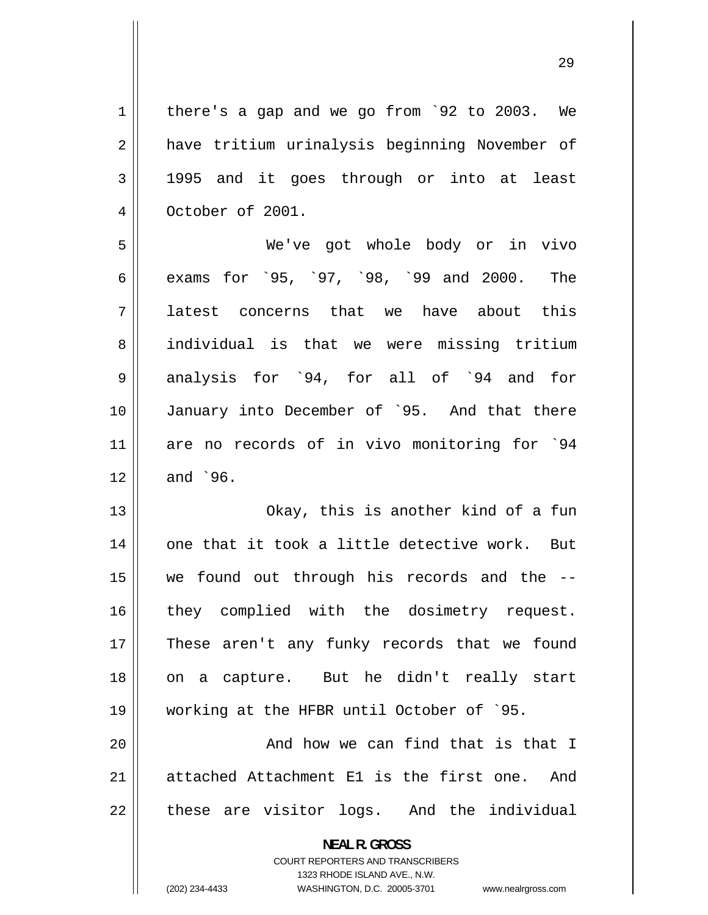1 2 3 4 there's a gap and we go from `92 to 2003. We have tritium urinalysis beginning November of 1995 and it goes through or into at least October of 2001.

5 6 7 8 9 10 11 12 We've got whole body or in vivo exams for `95, `97, `98, `99 and 2000. The latest concerns that we have about this individual is that we were missing tritium analysis for `94, for all of `94 and for January into December of `95. And that there are no records of in vivo monitoring for `94 and `96.

13 14 15 16 17 18 19 Okay, this is another kind of a fun one that it took a little detective work. But we found out through his records and the - they complied with the dosimetry request. These aren't any funky records that we found on a capture. But he didn't really start working at the HFBR until October of `95.

20 21 22 And how we can find that is that I attached Attachment E1 is the first one. And these are visitor logs. And the individual

> **NEAL R. GROSS**  COURT REPORTERS AND TRANSCRIBERS 1323 RHODE ISLAND AVE., N.W.

(202) 234-4433 WASHINGTON, D.C. 20005-3701 www.nealrgross.com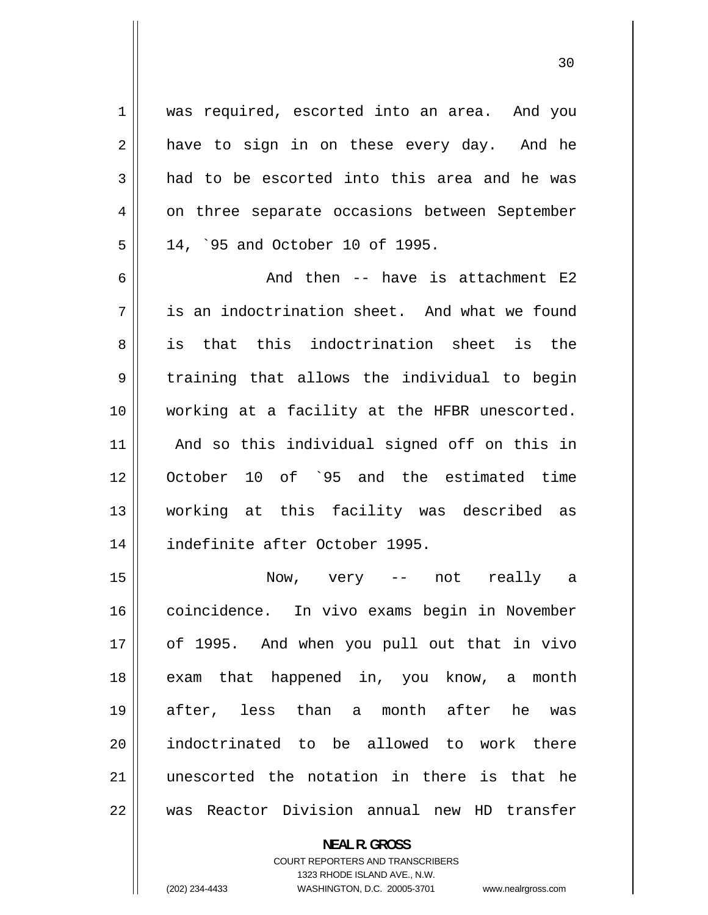was required, escorted into an area. And you have to sign in on these every day. And he had to be escorted into this area and he was on three separate occasions between September 14, `95 and October 10 of 1995.

6 7 8 9 10 11 12 13 14 And then -- have is attachment E2 is an indoctrination sheet. And what we found is that this indoctrination sheet is the training that allows the individual to begin working at a facility at the HFBR unescorted. And so this individual signed off on this in October 10 of `95 and the estimated time working at this facility was described as indefinite after October 1995.

15 16 17 18 19 20 21 22 Now, very -- not really a coincidence. In vivo exams begin in November of 1995. And when you pull out that in vivo exam that happened in, you know, a month after, less than a month after he was indoctrinated to be allowed to work there unescorted the notation in there is that he was Reactor Division annual new HD transfer

> **NEAL R. GROSS**  COURT REPORTERS AND TRANSCRIBERS 1323 RHODE ISLAND AVE., N.W. (202) 234-4433 WASHINGTON, D.C. 20005-3701 www.nealrgross.com

1

2

3

4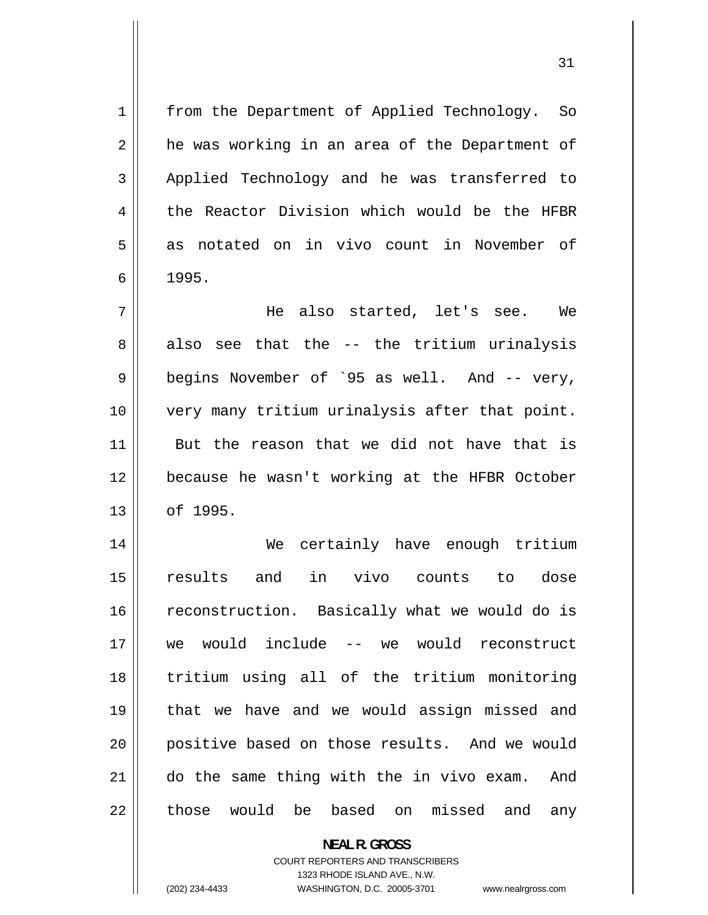from the Department of Applied Technology. So he was working in an area of the Department of Applied Technology and he was transferred to the Reactor Division which would be the HFBR as notated on in vivo count in November of 1995. He also started, let's see. We

7 8 9 10 11 12 13 also see that the -- the tritium urinalysis begins November of `95 as well. And -- very, very many tritium urinalysis after that point. But the reason that we did not have that is because he wasn't working at the HFBR October of 1995.

14 15 16 17 18 19 20 21 22 We certainly have enough tritium results and in vivo counts to dose reconstruction. Basically what we would do is we would include -- we would reconstruct tritium using all of the tritium monitoring that we have and we would assign missed and positive based on those results. And we would do the same thing with the in vivo exam. And those would be based on missed and any

> **NEAL R. GROSS**  COURT REPORTERS AND TRANSCRIBERS 1323 RHODE ISLAND AVE., N.W. (202) 234-4433 WASHINGTON, D.C. 20005-3701 www.nealrgross.com

1

2

3

4

5

6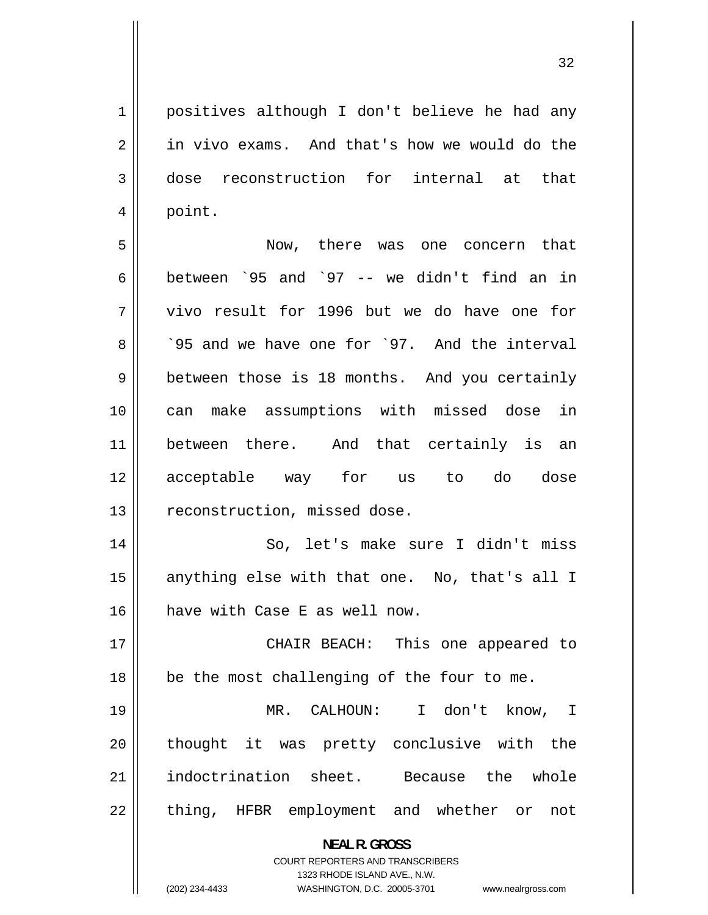1 4 positives although I don't believe he had any in vivo exams. And that's how we would do the dose reconstruction for internal at that point.

2

3

5 6 7 8  $\mathbf{I}$  $\mathbf{I}$  $\mathbf{I}$  $\mathbf{I}$ 9 10 11 12 13  $\mathbf{I}$  $\mathbf{I}$  $\mathbf{I}$  $\mathbf{I}$ Now, there was one concern that between `95 and `97 -- we didn't find an in vivo result for 1996 but we do have one for `95 and we have one for `97. And the interval between those is 18 months. And you certainly can make assumptions with missed dose in between there. And that certainly is an acceptable way for us to do dose reconstruction, missed dose.

14 15 16 So, let's make sure I didn't miss anything else with that one. No, that's all I have with Case E as well now.

17 18 CHAIR BEACH: This one appeared to be the most challenging of the four to me.

19 20 21 22 MR. CALHOUN: I don't know, I thought it was pretty conclusive with the indoctrination sheet. Because the whole thing, HFBR employment and whether or not

> **NEAL R. GROSS**  COURT REPORTERS AND TRANSCRIBERS

> > 1323 RHODE ISLAND AVE., N.W.

(202) 234-4433 WASHINGTON, D.C. 20005-3701 www.nealrgross.com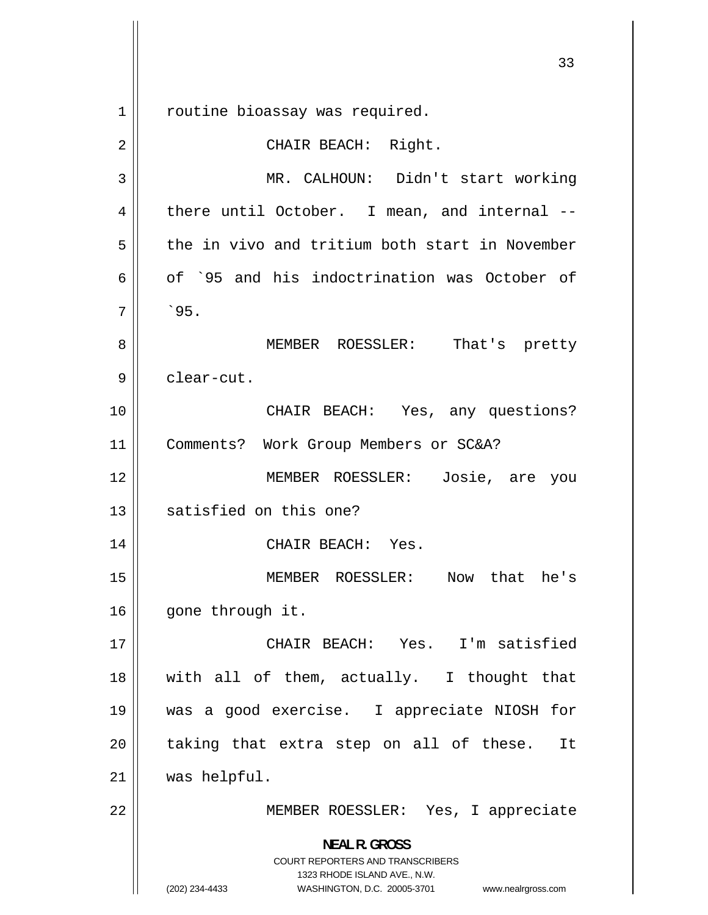**NEAL R. GROSS**  COURT REPORTERS AND TRANSCRIBERS 1323 RHODE ISLAND AVE., N.W. (202) 234-4433 WASHINGTON, D.C. 20005-3701 www.nealrgross.com 1 2 3 4 5 6 7 8 9 10 11 12 13 14 15 16 17 18 19 20 21 22 routine bioassay was required. CHAIR BEACH: Right. MR. CALHOUN: Didn't start working there until October. I mean, and internal - the in vivo and tritium both start in November of `95 and his indoctrination was October of  $^{\circ}95.$ MEMBER ROESSLER: That's pretty clear-cut. CHAIR BEACH: Yes, any questions? Comments? Work Group Members or SC&A? MEMBER ROESSLER: Josie, are you satisfied on this one? CHAIR BEACH: Yes. MEMBER ROESSLER: Now that he's gone through it. CHAIR BEACH: Yes. I'm satisfied with all of them, actually. I thought that was a good exercise. I appreciate NIOSH for taking that extra step on all of these. It was helpful. MEMBER ROESSLER: Yes, I appreciate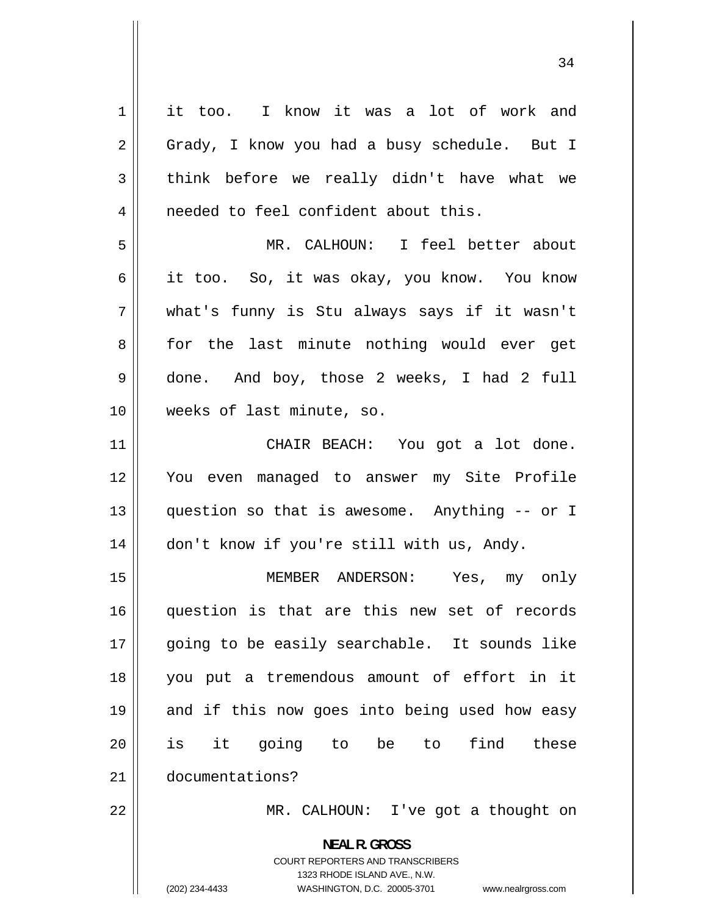| $\mathbf 1$    | it too. I know it was a lot of work and                                                                                                                                |
|----------------|------------------------------------------------------------------------------------------------------------------------------------------------------------------------|
| $\sqrt{2}$     | Grady, I know you had a busy schedule. But I                                                                                                                           |
| 3              | think before we really didn't have what we                                                                                                                             |
| $\overline{4}$ | needed to feel confident about this.                                                                                                                                   |
| 5              | MR. CALHOUN: I feel better about                                                                                                                                       |
| 6              | it too.  So, it was okay, you know.  You know                                                                                                                          |
| 7              | what's funny is Stu always says if it wasn't                                                                                                                           |
| 8              | for the last minute nothing would ever get                                                                                                                             |
| 9              | done. And boy, those 2 weeks, I had 2 full                                                                                                                             |
| 10             | weeks of last minute, so.                                                                                                                                              |
| 11             | CHAIR BEACH: You got a lot done.                                                                                                                                       |
| 12             | You even managed to answer my Site Profile                                                                                                                             |
| 13             | question so that is awesome. Anything -- or I                                                                                                                          |
| 14             | don't know if you're still with us, Andy.                                                                                                                              |
| 15             | MEMBER ANDERSON: Yes, my only                                                                                                                                          |
| 16             | question is that are this new set of records                                                                                                                           |
| 17             | going to be easily searchable. It sounds like                                                                                                                          |
| 18             | you put a tremendous amount of effort in it                                                                                                                            |
| 19             | and if this now goes into being used how easy                                                                                                                          |
| 20             | is it going to be to<br>find these                                                                                                                                     |
| 21             | documentations?                                                                                                                                                        |
| 22             | MR. CALHOUN: I've got a thought on                                                                                                                                     |
|                | <b>NEAL R. GROSS</b><br><b>COURT REPORTERS AND TRANSCRIBERS</b><br>1323 RHODE ISLAND AVE., N.W.<br>(202) 234-4433<br>WASHINGTON, D.C. 20005-3701<br>www.nealrgross.com |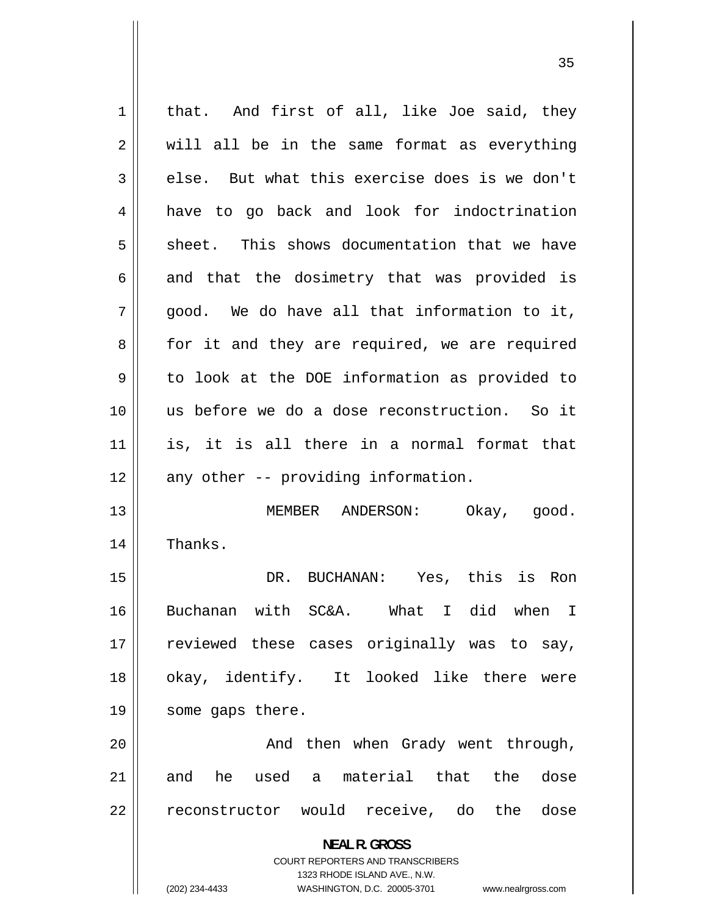**NEAL R. GROSS**  COURT REPORTERS AND TRANSCRIBERS 1323 RHODE ISLAND AVE., N.W. (202) 234-4433 WASHINGTON, D.C. 20005-3701 www.nealrgross.com 1 2 3 4 5 6 7 8 9 10 11 12 13 14 15 16 17 18 19 20 21 22 that. And first of all, like Joe said, they will all be in the same format as everything else. But what this exercise does is we don't have to go back and look for indoctrination sheet. This shows documentation that we have and that the dosimetry that was provided is good. We do have all that information to it, for it and they are required, we are required to look at the DOE information as provided to us before we do a dose reconstruction. So it is, it is all there in a normal format that any other -- providing information. MEMBER ANDERSON: Okay, good. Thanks. DR. BUCHANAN: Yes, this is Ron Buchanan with SC&A. What I did when I reviewed these cases originally was to say, okay, identify. It looked like there were some gaps there. And then when Grady went through, and he used a material that the dose reconstructor would receive, do the dose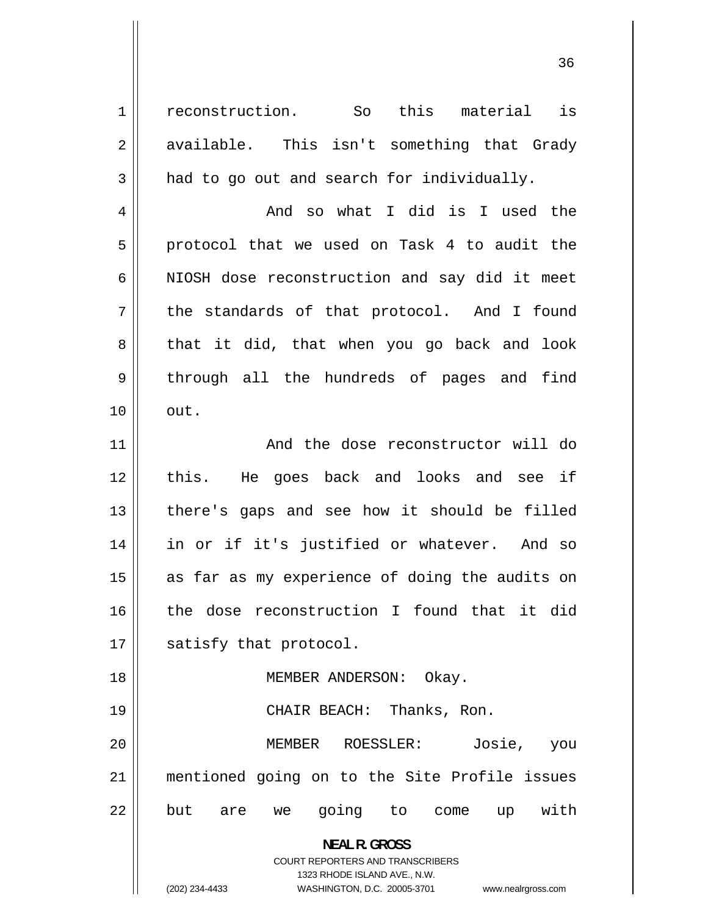reconstruction. So this material is available. This isn't something that Grady had to go out and search for individually.

1

2

3

4

5

6

7

8

9

10

18

 And so what I did is I used the protocol that we used on Task 4 to audit the NIOSH dose reconstruction and say did it meet the standards of that protocol. And I found that it did, that when you go back and look through all the hundreds of pages and find out.

11 12 13 14 15 16 17 And the dose reconstructor will do this. He goes back and looks and see if there's gaps and see how it should be filled in or if it's justified or whatever. And so as far as my experience of doing the audits on the dose reconstruction I found that it did satisfy that protocol.

MEMBER ANDERSON: Okay.

19 20 21 22 CHAIR BEACH: Thanks, Ron. MEMBER ROESSLER: Josie, you mentioned going on to the Site Profile issues but are we going to come up with

**NEAL R. GROSS** 

COURT REPORTERS AND TRANSCRIBERS 1323 RHODE ISLAND AVE., N.W. (202) 234-4433 WASHINGTON, D.C. 20005-3701 www.nealrgross.com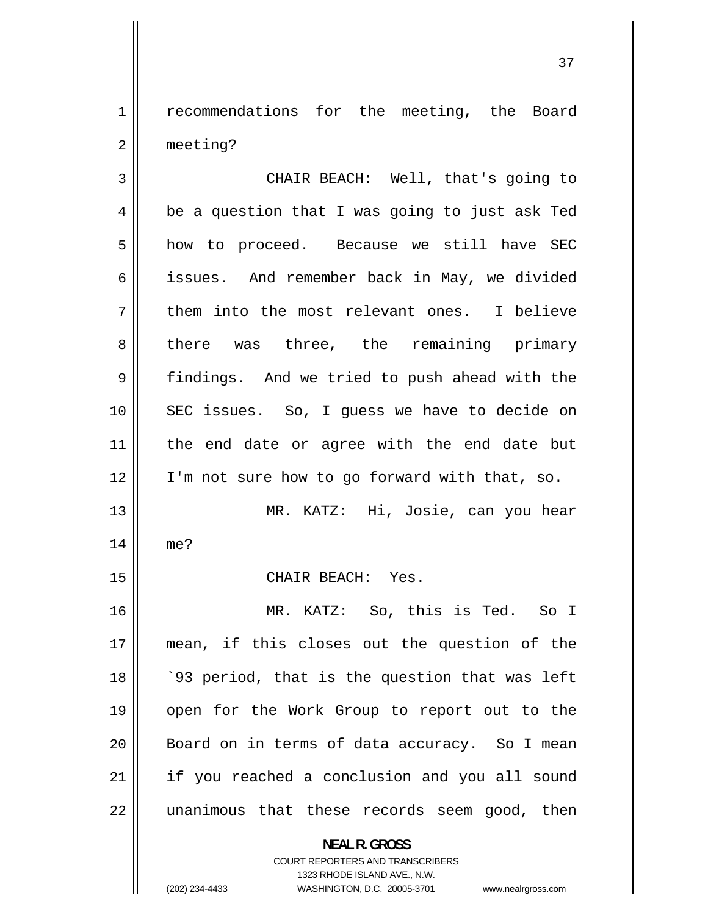1 2 recommendations for the meeting, the Board meeting?

3 4 5 6 7 8 9 10 11 12 13 14 15 16 17 18 19 20 21 22 CHAIR BEACH: Well, that's going to be a question that I was going to just ask Ted how to proceed. Because we still have SEC issues. And remember back in May, we divided them into the most relevant ones. I believe there was three, the remaining primary findings. And we tried to push ahead with the SEC issues. So, I guess we have to decide on the end date or agree with the end date but I'm not sure how to go forward with that, so. MR. KATZ: Hi, Josie, can you hear me? CHAIR BEACH: Yes. MR. KATZ: So, this is Ted. So I mean, if this closes out the question of the `93 period, that is the question that was left open for the Work Group to report out to the Board on in terms of data accuracy. So I mean if you reached a conclusion and you all sound unanimous that these records seem good, then **NEAL R. GROSS** 

> COURT REPORTERS AND TRANSCRIBERS 1323 RHODE ISLAND AVE., N.W.

(202) 234-4433

WASHINGTON, D.C. 20005-3701 www.nealrgross.com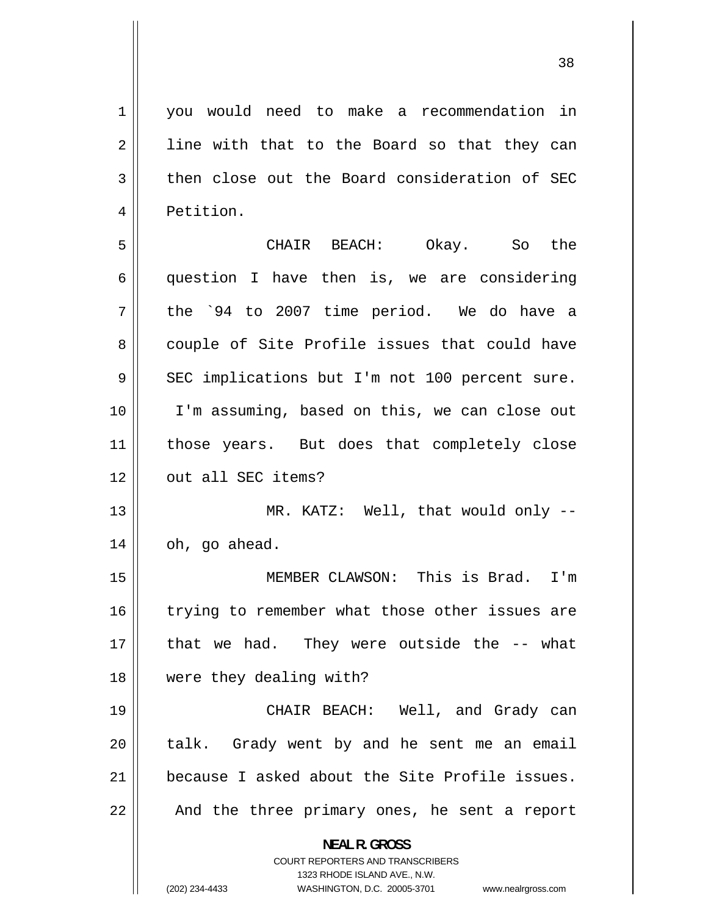1 4 you would need to make a recommendation in line with that to the Board so that they can then close out the Board consideration of SEC Petition.

2

3

5 6 7 8 9 10 11 12 CHAIR BEACH: Okay. So the question I have then is, we are considering the `94 to 2007 time period. We do have a couple of Site Profile issues that could have SEC implications but I'm not 100 percent sure. I'm assuming, based on this, we can close out those years. But does that completely close out all SEC items?

13 14 MR. KATZ: Well, that would only - oh, go ahead.

15 16 17 18 MEMBER CLAWSON: This is Brad. I'm trying to remember what those other issues are that we had. They were outside the -- what were they dealing with?

19 20 21 22 CHAIR BEACH: Well, and Grady can talk. Grady went by and he sent me an email because I asked about the Site Profile issues. And the three primary ones, he sent a report

> **NEAL R. GROSS**  COURT REPORTERS AND TRANSCRIBERS

> > 1323 RHODE ISLAND AVE., N.W.

(202) 234-4433

WASHINGTON, D.C. 20005-3701 www.nealrgross.com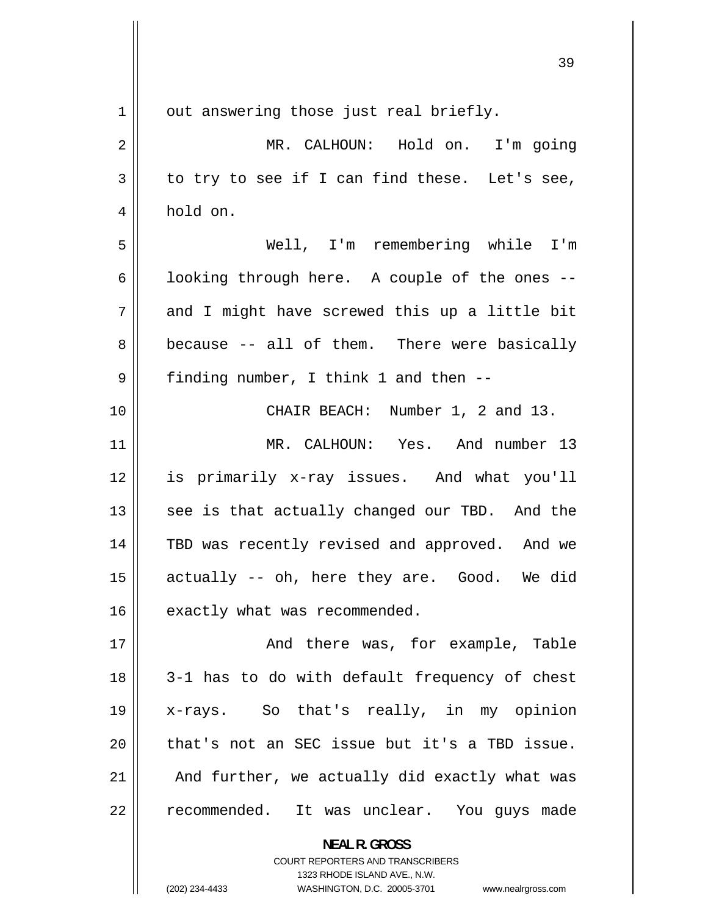| $\mathbf 1$ | out answering those just real briefly.                          |
|-------------|-----------------------------------------------------------------|
| 2           | MR. CALHOUN: Hold on. I'm going                                 |
| 3           | to try to see if I can find these. Let's see,                   |
| 4           | hold on.                                                        |
| 5           | Well, I'm remembering while I'm                                 |
| 6           | looking through here. A couple of the ones --                   |
| 7           | and I might have screwed this up a little bit                   |
| 8           | because -- all of them. There were basically                    |
| 9           | finding number, I think 1 and then --                           |
| 10          | CHAIR BEACH: Number 1, 2 and 13.                                |
| 11          | MR. CALHOUN: Yes. And number 13                                 |
| 12          | is primarily x-ray issues. And what you'll                      |
| 13          | see is that actually changed our TBD. And the                   |
| 14          | TBD was recently revised and approved. And we                   |
| 15          | actually -- oh, here they are. Good. We did                     |
| 16          | exactly what was recommended.                                   |
| 17          | And there was, for example, Table                               |
| 18          | 3-1 has to do with default frequency of chest                   |
| 19          | x-rays. So that's really, in my opinion                         |
| 20          | that's not an SEC issue but it's a TBD issue.                   |
| 21          | And further, we actually did exactly what was                   |
| 22          | recommended. It was unclear. You guys made                      |
|             | <b>NEAL R. GROSS</b><br><b>COURT REPORTERS AND TRANSCRIBERS</b> |

1323 RHODE ISLAND AVE., N.W.

 $\prod$ 

(202) 234-4433 WASHINGTON, D.C. 20005-3701 www.nealrgross.com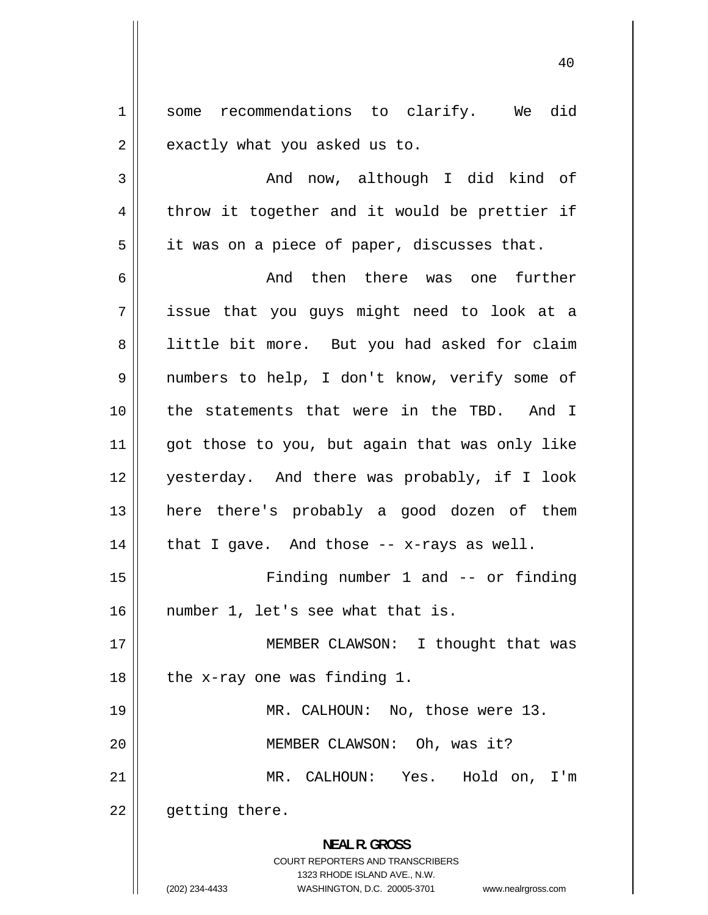1 some e xactly what you asked us to. 2 recommendations to clarify. We did

t hrow it together and it would be prettier if 3 4 5 i t was on a piece of paper, discusses that. And now, although I did kind of

6 7 i ssue that you guys might need to look at a 8 l ittle bit more. But you had asked for claim 9 n umbers to help, I don't know, verify some of 10 t he statements that were in the TBD. And I 11 g ot those to you, but again that was only like 12 y esterday. And there was probably, if I look 13 h ere there's probably a good dozen of them 14 15 And then there was one further hat I gave. And those -- x-rays as well. Finding number 1 and -- or finding

number 1, let's see what that is.

17 18 19 MEMBER CLAWSON: I thought that was the x-ray one was finding 1. MR. CALHOUN: No, those were 13.

MEMBER CLAWSON: Oh, was it?

21 22 MR. CALHOUN: Yes. Hold on, I'm getting there.

> **NEAL R. GROSS**  COURT REPORTERS AND TRANSCRIBERS 1323 RHODE ISLAND AVE., N.W.

(202) 234-4433

16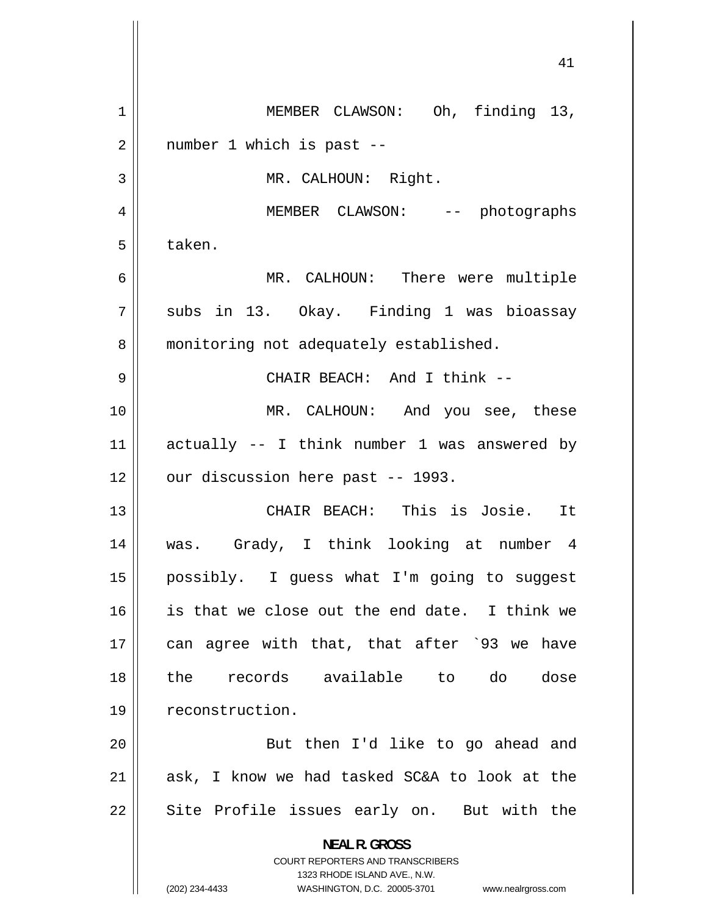| 1  | MEMBER CLAWSON: Oh, finding 13,                                         |
|----|-------------------------------------------------------------------------|
| 2  | number 1 which is past --                                               |
| 3  | MR. CALHOUN: Right.                                                     |
| 4  | MEMBER CLAWSON: -- photographs                                          |
| 5  | taken.                                                                  |
| 6  | MR. CALHOUN: There were multiple                                        |
| 7  | subs in 13. Okay. Finding 1 was bioassay                                |
| 8  | monitoring not adequately established.                                  |
| 9  | CHAIR BEACH: And I think --                                             |
| 10 | MR. CALHOUN: And you see, these                                         |
| 11 | actually -- I think number 1 was answered by                            |
| 12 | our discussion here past -- 1993.                                       |
| 13 | CHAIR BEACH: This is Josie. It                                          |
| 14 | was. Grady, I think looking at number 4                                 |
| 15 | possibly. I guess what I'm going to suggest                             |
| 16 | is that we close out the end date. I think we                           |
| 17 | can agree with that, that after '93 we have                             |
| 18 | records available to do<br>dose<br>the                                  |
| 19 | reconstruction.                                                         |
| 20 | But then I'd like to go ahead and                                       |
| 21 | ask, I know we had tasked SC&A to look at the                           |
| 22 | Site Profile issues early on. But with the                              |
|    | <b>NEAL R. GROSS</b>                                                    |
|    | <b>COURT REPORTERS AND TRANSCRIBERS</b><br>1323 RHODE ISLAND AVE., N.W. |
|    | (202) 234-4433<br>WASHINGTON, D.C. 20005-3701 www.nealrgross.com        |

 $\overline{\phantom{a}}$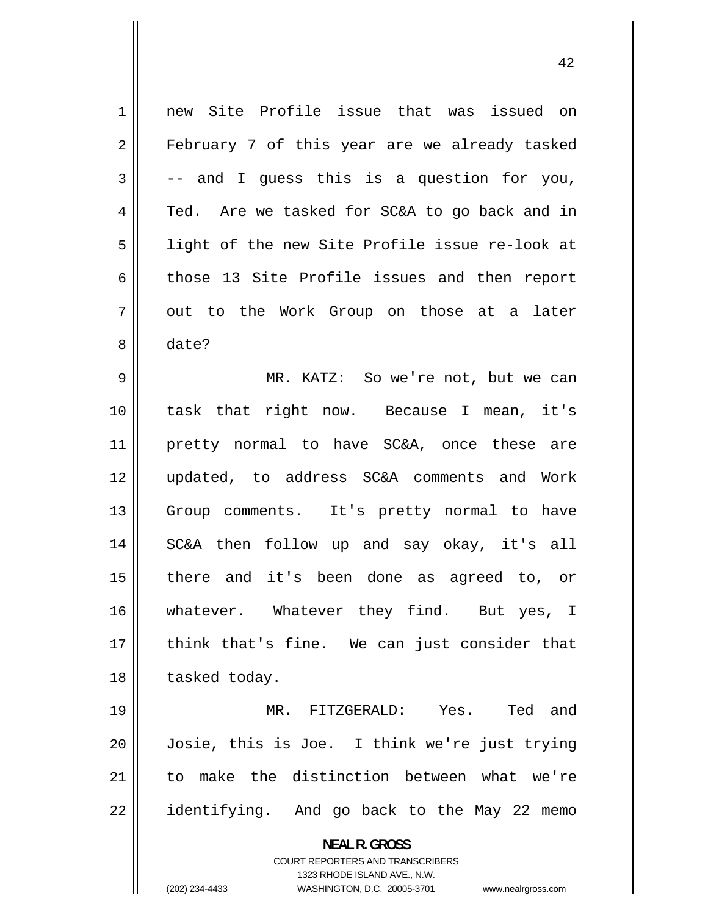1 2 3 4 5 6 7 8 9 10 11 12 13 14 15 16 17 18 19 20 new Site Profile issue that was issued on February 7 of this year are we already tasked -- and I guess this is a question for you, Ted. Are we tasked for SC&A to go back and in light of the new Site Profile issue re-look at those 13 Site Profile issues and then report out to the Work Group on those at a later date? MR. KATZ: So we're not, but we can task that right now. Because I mean, it's pretty normal to have SC&A, once these are updated, to address SC&A comments and Work Group comments. It's pretty normal to have SC&A then follow up and say okay, it's all there and it's been done as agreed to, or whatever. Whatever they find. But yes, I think that's fine. We can just consider that tasked today. MR. FITZGERALD: Yes. Ted and Josie, this is Joe. I think we're just trying

> **NEAL R. GROSS**  COURT REPORTERS AND TRANSCRIBERS 1323 RHODE ISLAND AVE., N.W.

to make the distinction between what we're

identifying. And go back to the May 22 memo

21

22

(202) 234-4433 WASHINGTON, D.C. 20005-3701 www.nealrgross.com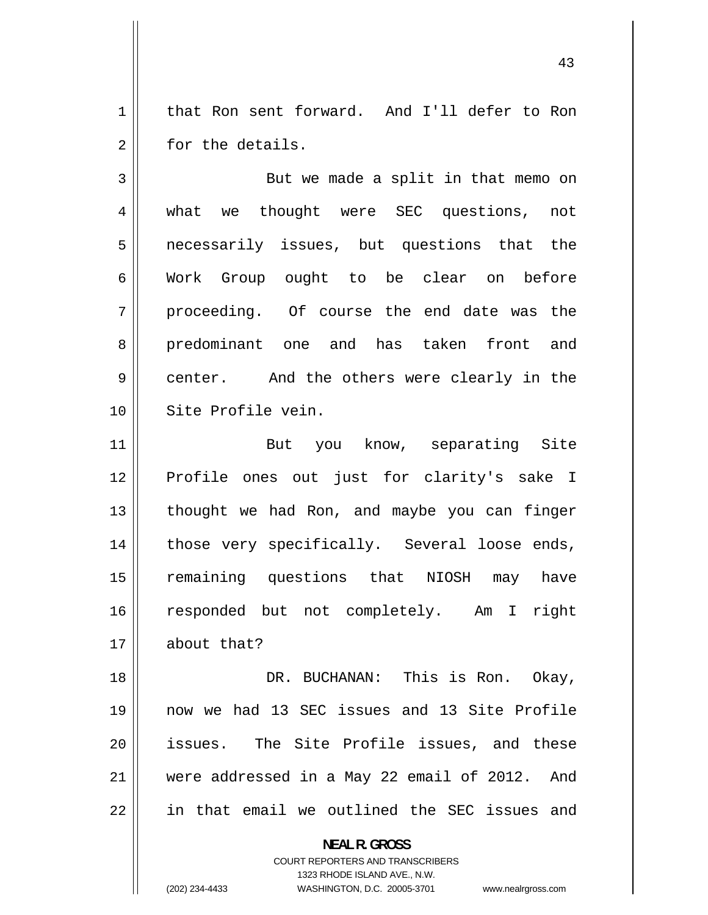1 t hat Ron sent forward. And I'll defer to Ron f or the details. 2

what 3 4 5 n ecessarily issues, but questions that the 6 Work 7 proceeding. 8 p redominant one and has taken front and 9 center.  $10$ But we made a split in that memo on we thought were SEC questions, not Group ought to be clear on before Of course the end date was the And the others were clearly in the Site Profile vein.

11 12 P rofile ones out just for clarity's sake I 13 t hought we had Ron, and maybe you can finger 14 t hose very specifically. Several loose ends, 15 r emaining questions that NIOSH may have 16 r esponded but not completely. Am I right 17 But you know, separating Site about that?

18 19 n ow we had 13 SEC issues and 13 Site Profile 20 issues. 21 w ere addressed in a May 22 email of 2012. And 22 i n that email we outlined the SEC issues and DR. BUCHANAN: This is Ron. Okay, The Site Profile issues, and these

> **NEAL R. GROSS**  COURT REPORTERS AND TRANSCRIBERS 1323 RHODE ISLAND AVE., N.W. WASHINGTON, D.C. 20005-3701 www.nealrgross.com

(202) 234-4433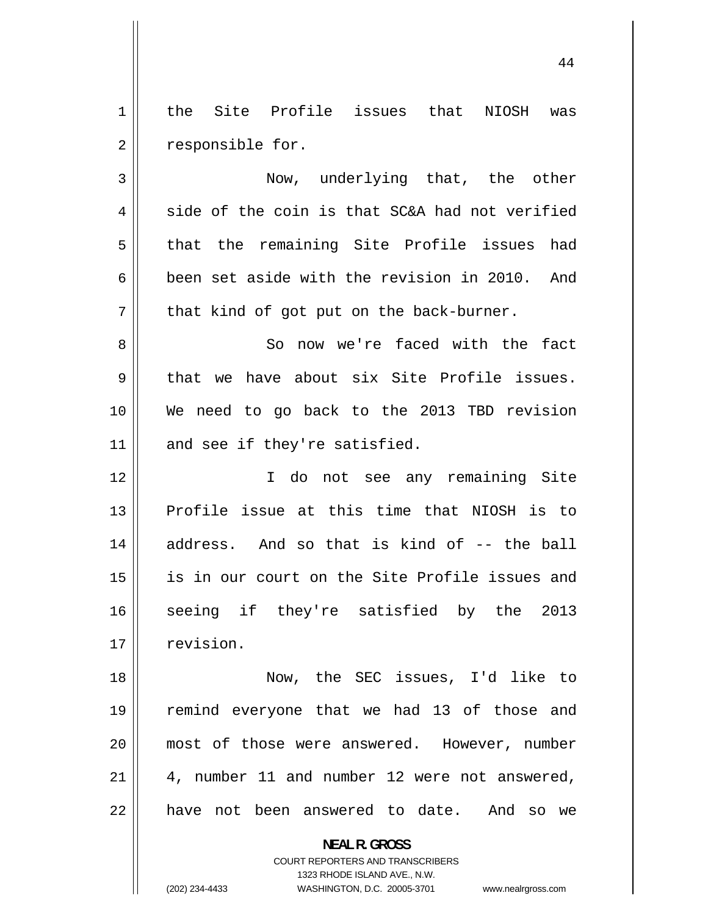1 2 the Site Profile issues that NIOSH was responsible for.

3 4 5 6 7 8 9 Now, underlying that, the other side of the coin is that SC&A had not verified that the remaining Site Profile issues had been set aside with the revision in 2010. And that kind of got put on the back-burner. So now we're faced with the fact that we have about six Site Profile issues.

10 11 We need to go back to the 2013 TBD revision and see if they're satisfied.

12 13 14 15 16 17 I do not see any remaining Site Profile issue at this time that NIOSH is to address. And so that is kind of -- the ball is in our court on the Site Profile issues and seeing if they're satisfied by the 2013 revision.

18 19 20 21 22 Now, the SEC issues, I'd like to remind everyone that we had 13 of those and most of those were answered. However, number 4, number 11 and number 12 were not answered, have not been answered to date. And so we

**NEAL R. GROSS** 

COURT REPORTERS AND TRANSCRIBERS 1323 RHODE ISLAND AVE., N.W. WASHINGTON, D.C. 20005-3701 www.nealrgross.com

(202) 234-4433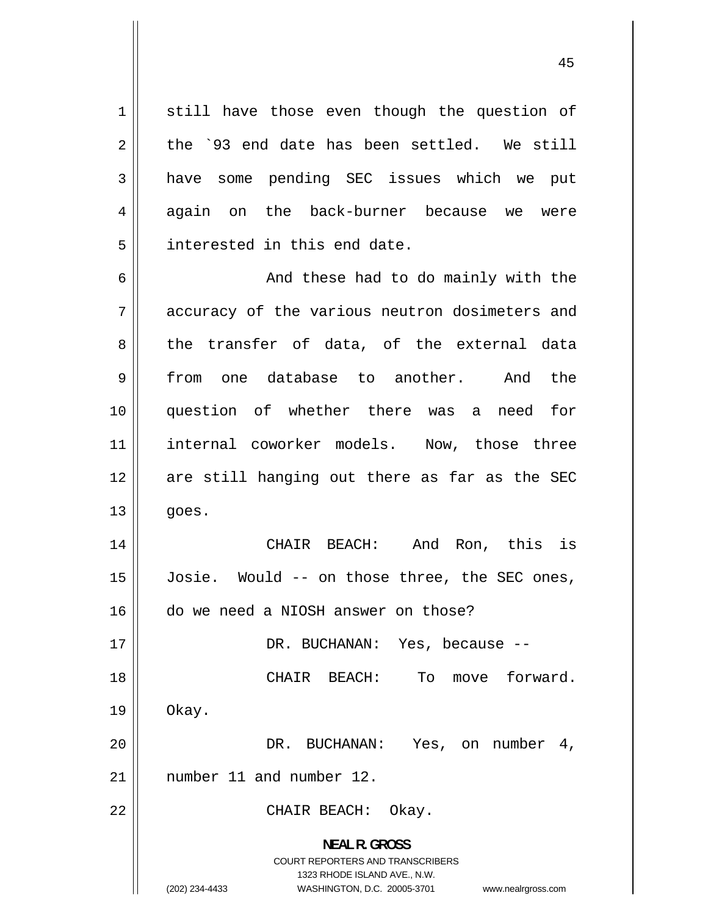1 s till have those even though the question of t he `93 end date has been settled. We still h ave some pending SEC issues which we put again on i nterested in this end date. 2 3 [4](#page-3-0) [5](#page-4-0) the back-burner because we were

[6](#page-5-0) [7](#page-6-0) a ccuracy of the various neutron dosimeters and [8](#page-7-0) t he transfer of data, of the external data [9](#page-8-0) f rom one database to another. And the [10](#page-9-0) q uestion of whether there was a need for [11](#page-10-0) i nternal coworker models. Now, those three [12](#page-11-0) a re still hanging out there as far as the SEC [13](#page-12-0) g oes. And these had to do mainly with the

[14](#page-13-0) [15](#page-14-0) Josie. [16](#page-15-0) d o we need a NIOSH answer on those? CHAIR BEACH: And Ron, this is Would -- on those three, the SEC ones,

DR. BUCHANAN: Yes, because --

 O kay. CHAIR BEACH: To move forward.

[20](#page-19-0) [21](#page-20-0) n umber 11 and number 12. DR. BUCHANAN: Yes, on number 4,

CHAIR BEACH: Okay.

**NEAL R. GROSS**  COURT REPORTERS AND TRANSCRIBERS 1323 RHODE ISLAND AVE., N.W. WASHINGTON, D.C. 20005-3701 www.nealrgross.com

(202) 234-4433

[17](#page-16-0)

[18](#page-17-0)

[19](#page-18-0)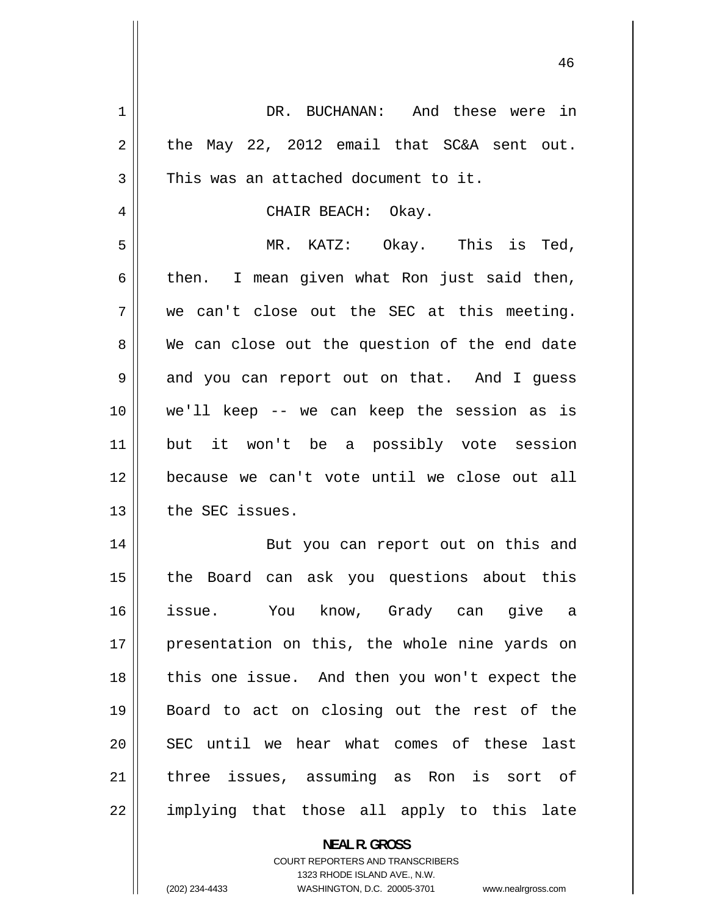| 1  | DR. BUCHANAN: And these were in               |
|----|-----------------------------------------------|
| 2  | the May 22, 2012 email that SC&A sent out.    |
| 3  | This was an attached document to it.          |
| 4  | CHAIR BEACH: Okay.                            |
| 5  | MR. KATZ: Okay. This is Ted,                  |
| 6  | then. I mean given what Ron just said then,   |
| 7  | we can't close out the SEC at this meeting.   |
| 8  | We can close out the question of the end date |
| 9  | and you can report out on that. And I quess   |
| 10 | we'll keep -- we can keep the session as is   |
| 11 | but it won't be a possibly vote session       |
| 12 | because we can't vote until we close out all  |
| 13 | the SEC issues.                               |
| 14 | But you can report out on this and            |
| 15 | the Board can ask you questions about this    |
| 16 | You know, Grady can give a<br>issue.          |
| 17 | presentation on this, the whole nine yards on |
| 18 | this one issue. And then you won't expect the |
| 19 | Board to act on closing out the rest of the   |
| 20 | SEC until we hear what comes of these last    |
| 21 | three issues, assuming as Ron is sort of      |
| 22 | implying that those all apply to this late    |
|    | <b>NEAL R. GROSS</b>                          |

COURT REPORTERS AND TRANSCRIBERS 1323 RHODE ISLAND AVE., N.W.

 $\mathsf{II}$ 

(202) 234-4433 WASHINGTON, D.C. 20005-3701 www.nealrgross.com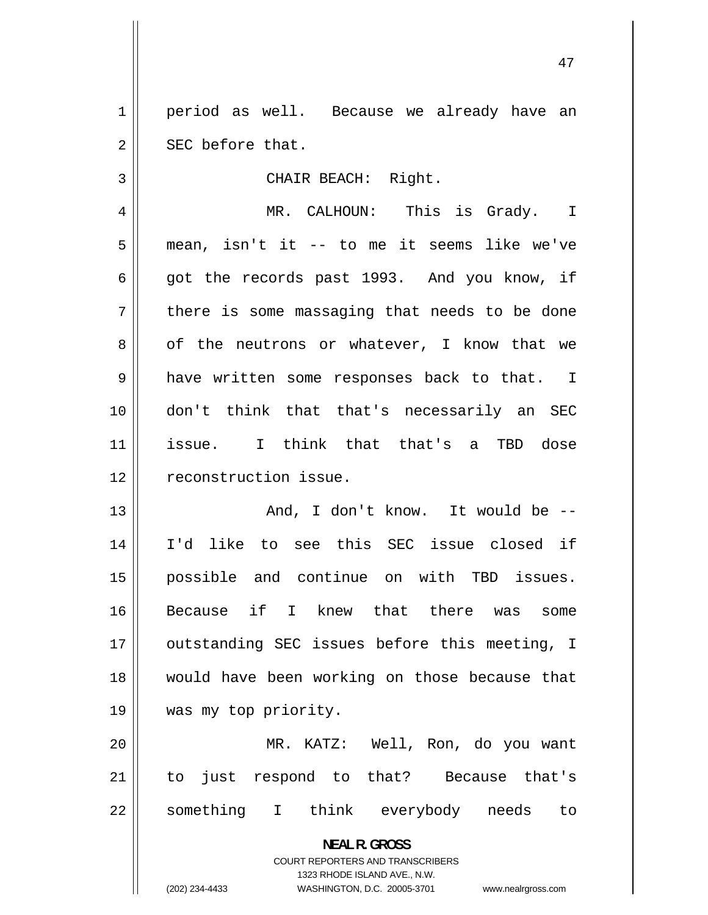1 2 S EC before that. period as well. Because we already have an

CHAIR BEACH: Right.

4 5 m ean, isn't it -- to me it seems like we've 6 g ot the records past 1993. And you know, if 7 t here is some massaging that needs to be done 8 o f the neutrons or whatever, I know that we 9 h ave written some responses back to that. I 10 d on't think that that's necessarily an SEC 11 issue. **12**  MR. CALHOUN: This is Grady. I I think that that's a TBD dose econstruction issue.

13 14 I 'd like to see this SEC issue closed if 15 p ossible and continue on with TBD issues. 16 B ecause if I knew that there was some 17 o utstanding SEC issues before this meeting, I 18 w ould have been working on those because that 19 w And, I don't know. It would be - was my top priority.

20 21 to. 22 something MR. KATZ: Well, Ron, do you want just respond to that? Because that's I think everybody needs to

> **NEAL R. GROSS**  COURT REPORTERS AND TRANSCRIBERS 1323 RHODE ISLAND AVE., N.W. (202) 234-4433 WASHINGTON, D.C. 20005-3701 www.nealrgross.com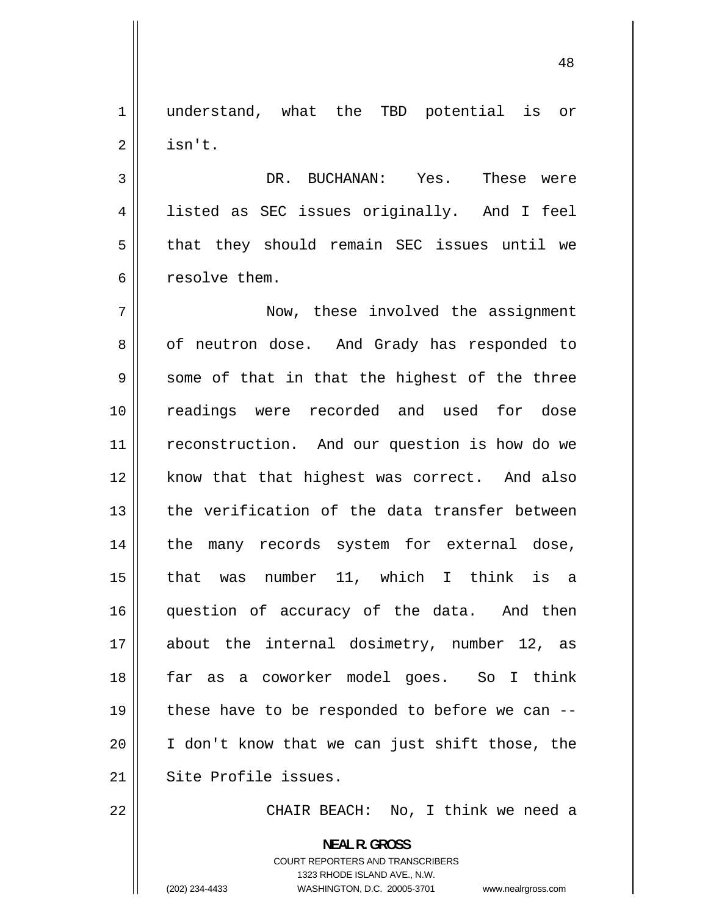1 u nderstand, what the TBD potential is or 2 i sn't.

3 4 l isted as SEC issues originally. And I feel 5 t hat they should remain SEC issues until we 6 r esolve them. DR. BUCHANAN: Yes. These were

7 8 o f neutron dose. And Grady has responded to 9 s ome of that in that the highest of the three 10 r eadings were recorded and used for dose 11 r econstruction. And our question is how do we 12 k now that that highest was correct. And also 13 t he verification of the data transfer between 14 t he many records system for external dose, 15 that 16 q uestion of accuracy of the data. And then 17 a bout the internal dosimetry, number 12, as 18 f ar as a coworker model goes. So I think 19 t hese have to be responded to before we can -- 20 I don't know that we can just shift those, the  $21$  Now, these involved the assignment was number 11, which I think is a Site Profile issues.

22

CHAIR BEACH: No, I think we need a

**NEAL R. GROSS**  COURT REPORTERS AND TRANSCRIBERS 1323 RHODE ISLAND AVE., N.W. (202) 234-4433 WASHINGTON, D.C. 20005-3701 www.nealrgross.com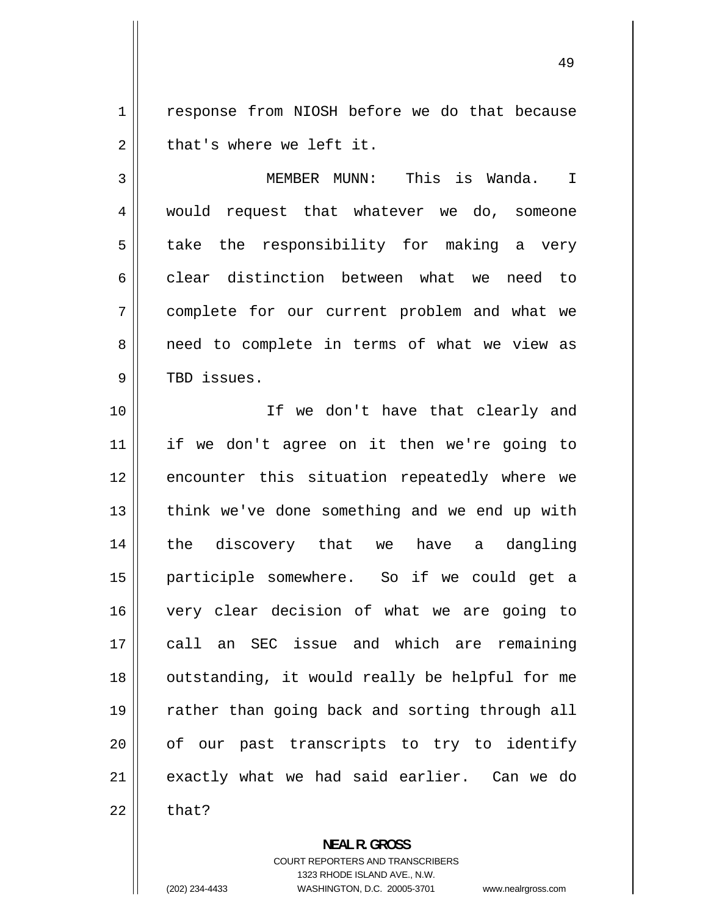1 2 response from NIOSH before we do that because that's where we left it.

3 4 5 6 7 8 9 MEMBER MUNN: This is Wanda. I would request that whatever we do, someone take the responsibility for making a very clear distinction between what we need to complete for our current problem and what we need to complete in terms of what we view as TBD issues.

10 11 12 13 14 15 16 17 18 19 20 21 22 If we don't have that clearly and if we don't agree on it then we're going to encounter this situation repeatedly where we think we've done something and we end up with the discovery that we have a dangling participle somewhere. So if we could get a very clear decision of what we are going to call an SEC issue and which are remaining outstanding, it would really be helpful for me rather than going back and sorting through all of our past transcripts to try to identify exactly what we had said earlier. Can we do that?

(202) 234-4433

**NEAL R. GROSS** 

COURT REPORTERS AND TRANSCRIBERS 1323 RHODE ISLAND AVE., N.W. WASHINGTON, D.C. 20005-3701 www.nealrgross.com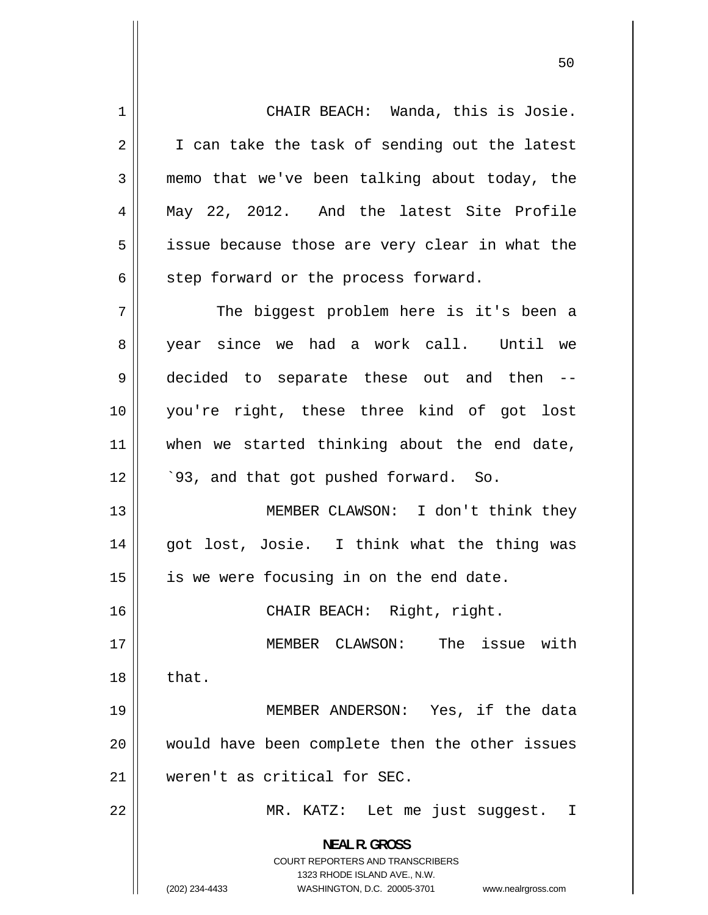CHAIR BEACH: Wanda, this is Josie. I can take the task of sending out the latest memo that we've been talking about today, the May 22, 2012. And the latest Site Profile 1 2 3 4 5 6 7 8 issue because those are very clear in what the step forward or the process forward. The biggest problem here is it's been a year since we had a work call. Until we

12 decided to separate these out and then - you're right, these three kind of got lost when we started thinking about the end date, `93, and that got pushed forward. So.

13 14 15 MEMBER CLAWSON: I don't think they got lost, Josie. I think what the thing was is we were focusing in on the end date.

CHAIR BEACH: Right, right.

17 18 MEMBER CLAWSON: The issue with that.

19 20 21 MEMBER ANDERSON: Yes, if the data would have been complete then the other issues weren't as critical for SEC.

MR. KATZ: Let me just suggest. I

**NEAL R. GROSS**  COURT REPORTERS AND TRANSCRIBERS

1323 RHODE ISLAND AVE., N.W.

9

10

11

16

22

(202) 234-4433 WASHINGTON, D.C. 20005-3701 www.nealrgross.com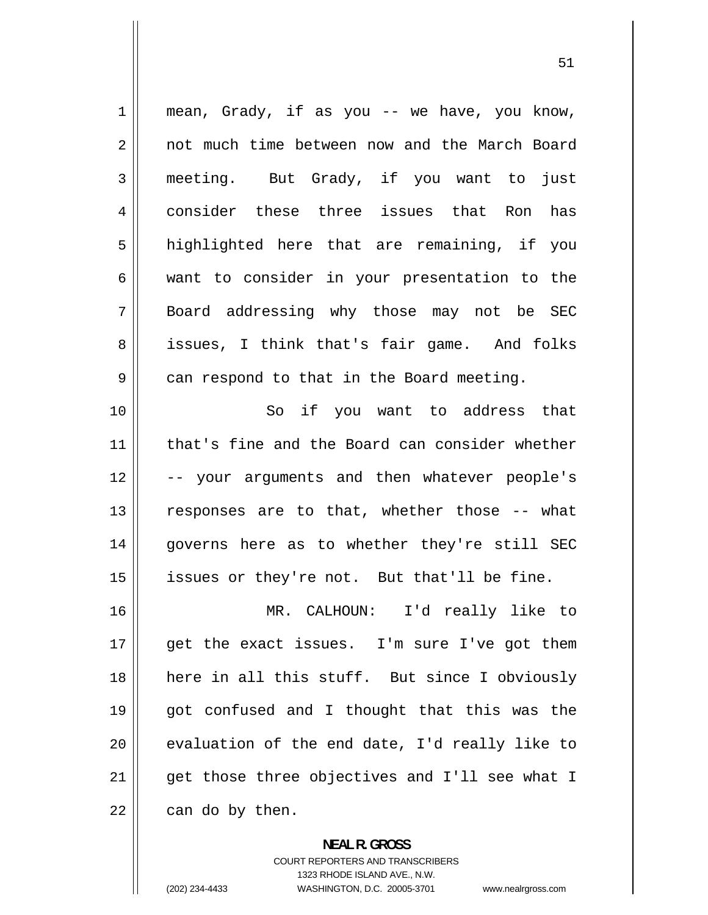1 2 3 4 5 6 7 8 9 10 11 12 13 14 15 16 17 18 19 20 21 22 mean, Grady, if as you -- we have, you know, not much time between now and the March Board meeting. But Grady, if you want to just consider these three issues that Ron has highlighted here that are remaining, if you want to consider in your presentation to the Board addressing why those may not be SEC issues, I think that's fair game. And folks can respond to that in the Board meeting. So if you want to address that that's fine and the Board can consider whether -- your arguments and then whatever people's responses are to that, whether those -- what governs here as to whether they're still SEC issues or they're not. But that'll be fine. MR. CALHOUN: I'd really like to get the exact issues. I'm sure I've got them here in all this stuff. But since I obviously got confused and I thought that this was the evaluation of the end date, I'd really like to get those three objectives and I'll see what I can do by then.

> **NEAL R. GROSS**  COURT REPORTERS AND TRANSCRIBERS 1323 RHODE ISLAND AVE., N.W. (202) 234-4433 WASHINGTON, D.C. 20005-3701 www.nealrgross.com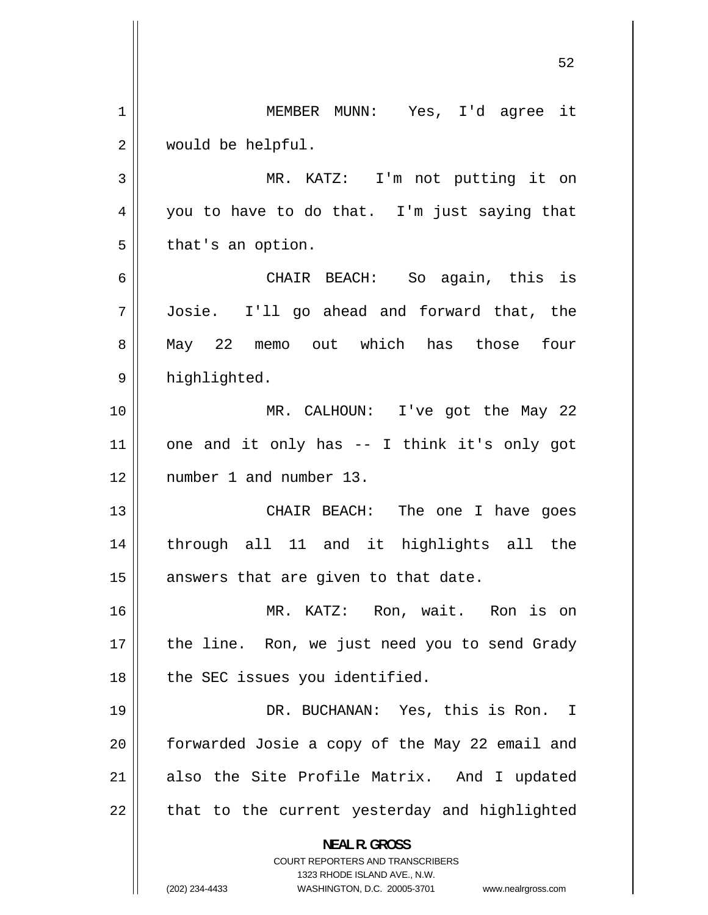**NEAL R. GROSS**  COURT REPORTERS AND TRANSCRIBERS 1323 RHODE ISLAND AVE., N.W. (202) 234-4433 WASHINGTON, D.C. 20005-3701 www.nealrgross.com MEMBER MUNN: Yes, I'd agree it would be helpful. MR. KATZ: I'm not putting it on you to have to do that. I'm just saying that 52 1 2 3 4 5 6 7 8 9 10 11 12 13 14 15 16 17 18 19 20 21 22 that's an option. CHAIR BEACH: So again, this is Josie. I'll go ahead and forward that, the May 22 memo out which has those four highlighted. MR. CALHOUN: I've got the May 22 one and it only has -- I think it's only got number 1 and number 13. CHAIR BEACH: The one I have goes through all 11 and it highlights all the answers that are given to that date. MR. KATZ: Ron, wait. Ron is on the line. Ron, we just need you to send Grady the SEC issues you identified. DR. BUCHANAN: Yes, this is Ron. I forwarded Josie a copy of the May 22 email and also the Site Profile Matrix. And I updated that to the current yesterday and highlighted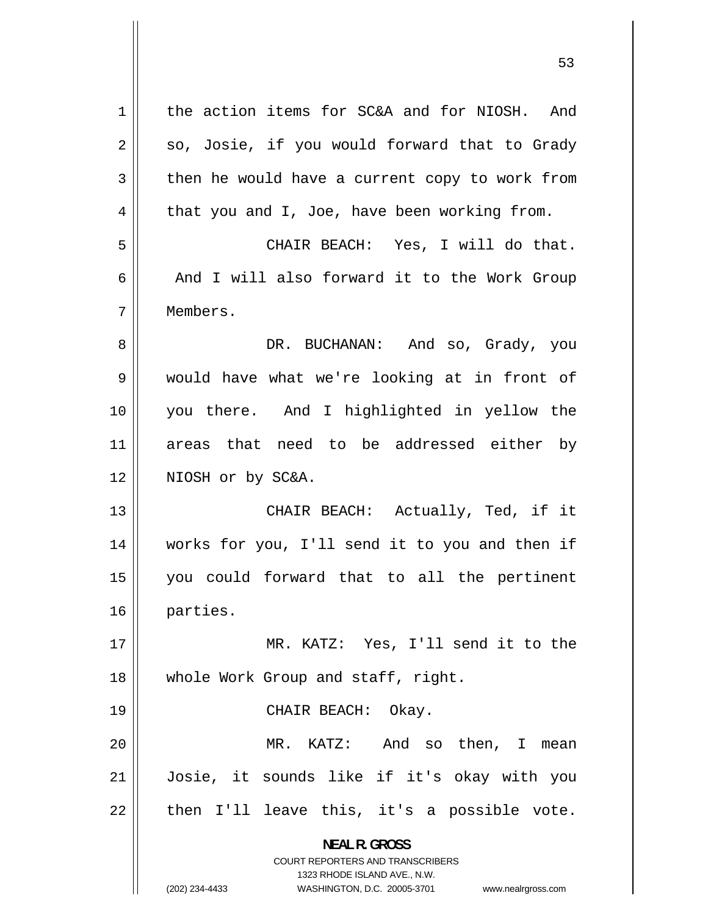**NEAL R. GROSS**  COURT REPORTERS AND TRANSCRIBERS 1323 RHODE ISLAND AVE., N.W. (202) 234-4433 WASHINGTON, D.C. 20005-3701 www.nealrgross.com 1 the action items for SC&A and for NIOSH. And so, Josie, if you would forward that to Grady then he would have a current copy to work from that you and I, Joe, have been working from. 2 3 4 5 CHAIR BEACH: Yes, I will do that. 6 And I will also forward it to the Work Group 7 8 9 10 11 12 13 14 15 16 17 18 19 20 21 22 Members. DR. BUCHANAN: And so, Grady, you would have what we're looking at in front of you there. And I highlighted in yellow the areas that need to be addressed either by NIOSH or by SC&A. CHAIR BEACH: Actually, Ted, if it works for you, I'll send it to you and then if you could forward that to all the pertinent parties. MR. KATZ: Yes, I'll send it to the whole Work Group and staff, right. CHAIR BEACH: Okay. MR. KATZ: And so then, I mean Josie, it sounds like if it's okay with you then I'll leave this, it's a possible vote.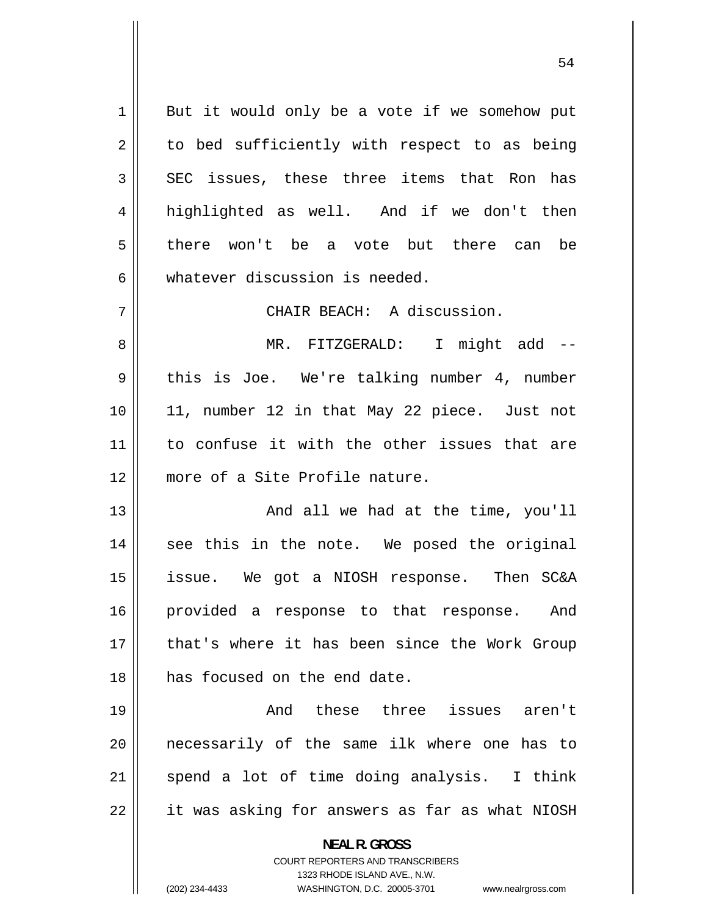1 2 3 4 5 6 7 But it would only be a vote if we somehow put to bed sufficiently with respect to as being SEC issues, these three items that Ron has highlighted as well. And if we don't then there won't be a vote but there can be whatever discussion is needed. CHAIR BEACH: A discussion.

8 9 10 11 12 MR. FITZGERALD: I might add -this is Joe. We're talking number 4, number 11, number 12 in that May 22 piece. Just not to confuse it with the other issues that are more of a Site Profile nature.

13 14 15 16 17 18 And all we had at the time, you'll see this in the note. We posed the original issue. We got a NIOSH response. Then SC&A provided a response to that response. And that's where it has been since the Work Group has focused on the end date.

19 20 21 22 And these three issues aren't necessarily of the same ilk where one has to spend a lot of time doing analysis. I think it was asking for answers as far as what NIOSH

**NEAL R. GROSS** 

COURT REPORTERS AND TRANSCRIBERS 1323 RHODE ISLAND AVE., N.W. (202) 234-4433 WASHINGTON, D.C. 20005-3701 www.nealrgross.com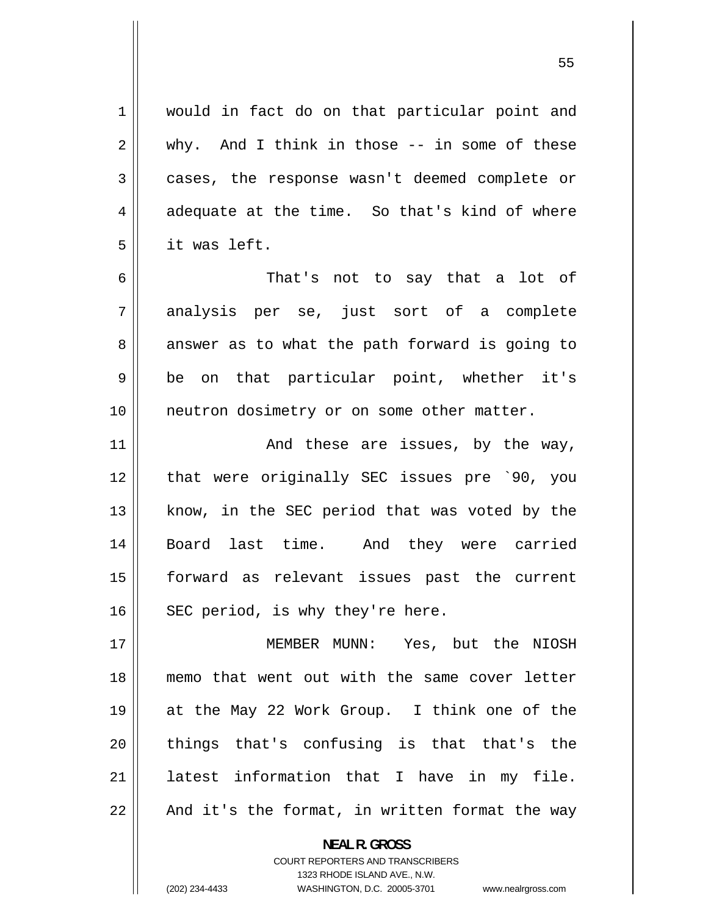1 2 3 4 5 6 7 8 9 10 11 12 13 14 15 16 17 18 19 20 21 22 would in fact do on that particular point and why. And I think in those -- in some of these cases, the response wasn't deemed complete or adequate at the time. So that's kind of where it was left. That's not to say that a lot of analysis per se, just sort of a complete answer as to what the path forward is going to be on that particular point, whether it's neutron dosimetry or on some other matter. And these are issues, by the way, that were originally SEC issues pre `90, you know, in the SEC period that was voted by the Board last time. And they were carried forward as relevant issues past the current SEC period, is why they're here. MEMBER MUNN: Yes, but the NIOSH memo that went out with the same cover letter at the May 22 Work Group. I think one of the things that's confusing is that that's the latest information that I have in my file. And it's the format, in written format the way

> COURT REPORTERS AND TRANSCRIBERS 1323 RHODE ISLAND AVE., N.W.

**NEAL R. GROSS** 

(202) 234-4433

WASHINGTON, D.C. 20005-3701 www.nealrgross.com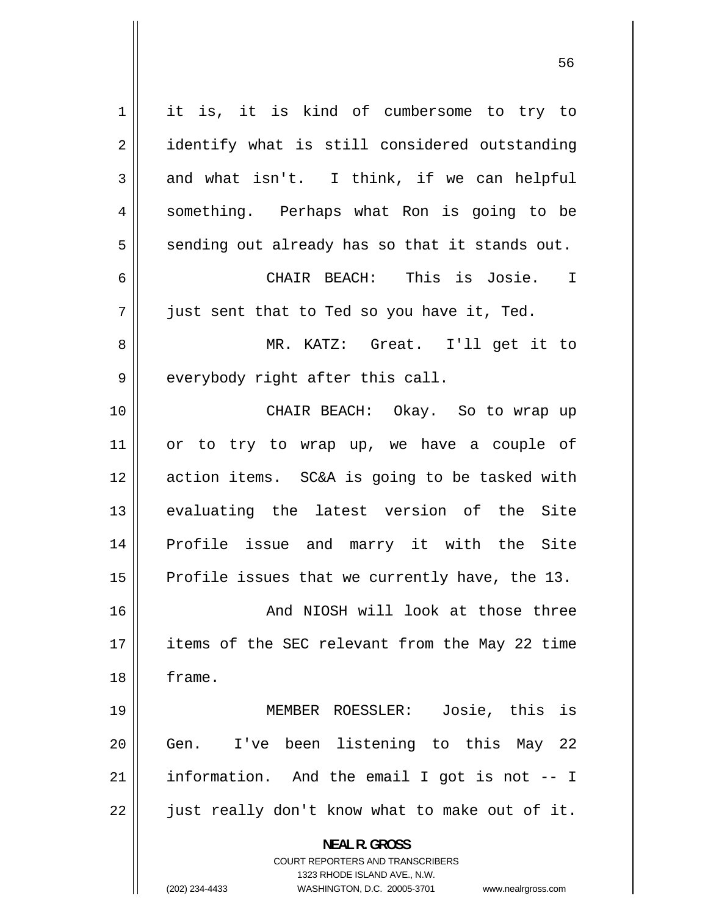**NEAL R. GROSS**  COURT REPORTERS AND TRANSCRIBERS 1323 RHODE ISLAND AVE., N.W. (202) 234-4433 WASHINGTON, D.C. 20005-3701 www.nealrgross.com 1 2 3 4 5 6 7 8 9 10 11 12 13 14 15 16 17 18 19 20 21 22 it is, it is kind of cumbersome to try to identify what is still considered outstanding and what isn't. I think, if we can helpful something. Perhaps what Ron is going to be sending out already has so that it stands out. CHAIR BEACH: This is Josie. I just sent that to Ted so you have it, Ted. MR. KATZ: Great. I'll get it to everybody right after this call. CHAIR BEACH: Okay. So to wrap up or to try to wrap up, we have a couple of action items. SC&A is going to be tasked with evaluating the latest version of the Site Profile issue and marry it with the Site Profile issues that we currently have, the 13. And NIOSH will look at those three items of the SEC relevant from the May 22 time frame. MEMBER ROESSLER: Josie, this is Gen. I've been listening to this May 22 information. And the email I got is not -- I just really don't know what to make out of it.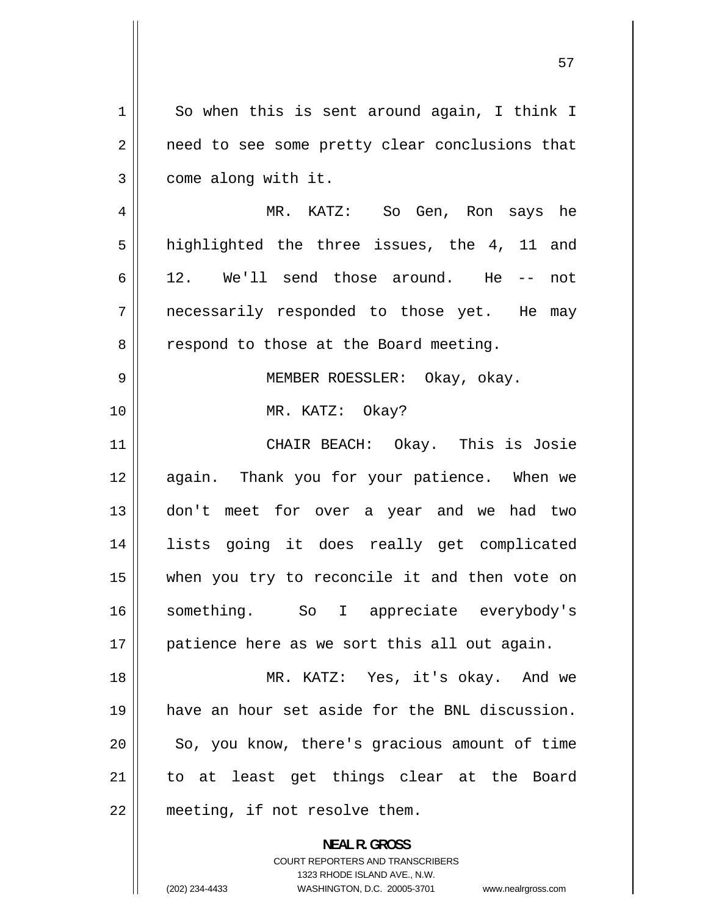1 2 3 So when this is sent around again, I think I need to see some pretty clear conclusions that come along with it.

4 5 6 7 8 MR. KATZ: So Gen, Ron says he highlighted the three issues, the 4, 11 and 12. We'll send those around. He -- not necessarily responded to those yet. He may respond to those at the Board meeting.

MEMBER ROESSLER: Okay, okay.

MR. KATZ: Okay?

9

10

11 12 13 14 15 16 17 CHAIR BEACH: Okay. This is Josie again. Thank you for your patience. When we don't meet for over a year and we had two lists going it does really get complicated when you try to reconcile it and then vote on something. So I appreciate everybody's patience here as we sort this all out again.

18 19 20 21 22 MR. KATZ: Yes, it's okay. And we have an hour set aside for the BNL discussion. So, you know, there's gracious amount of time to at least get things clear at the Board meeting, if not resolve them.

> **NEAL R. GROSS**  COURT REPORTERS AND TRANSCRIBERS 1323 RHODE ISLAND AVE., N.W. (202) 234-4433 WASHINGTON, D.C. 20005-3701 www.nealrgross.com